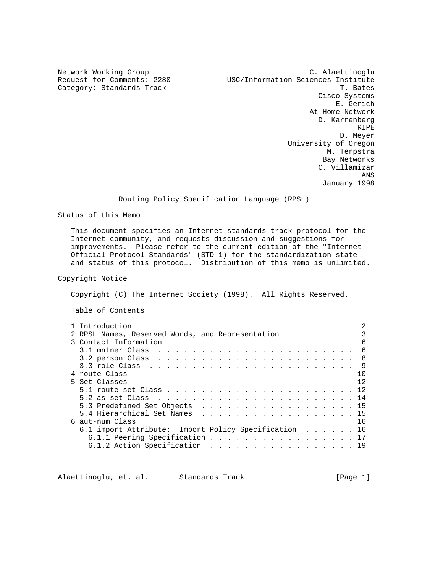Category: Standards Track

Network Working Group and C. Alaettinoglu<br>Request for Comments: 2280 198C/Information Sciences Institute USC/Information Sciences Institute<br>T. Bates Cisco Systems E. Gerich At Home Network D. Karrenberg **RIPE RIPE**  D. Meyer University of Oregon M. Terpstra Bay Networks C. Villamizar **ANS** ANS January 1998

# Routing Policy Specification Language (RPSL)

Status of this Memo

 This document specifies an Internet standards track protocol for the Internet community, and requests discussion and suggestions for improvements. Please refer to the current edition of the "Internet Official Protocol Standards" (STD 1) for the standardization state and status of this protocol. Distribution of this memo is unlimited.

# Copyright Notice

Copyright (C) The Internet Society (1998). All Rights Reserved.

Table of Contents

|  | 1 Introduction                                    |  |  |  |  |  |  |  |  |     |
|--|---------------------------------------------------|--|--|--|--|--|--|--|--|-----|
|  | 2 RPSL Names, Reserved Words, and Representation  |  |  |  |  |  |  |  |  |     |
|  | 3 Contact Information                             |  |  |  |  |  |  |  |  | б   |
|  |                                                   |  |  |  |  |  |  |  |  | 6   |
|  |                                                   |  |  |  |  |  |  |  |  | -8  |
|  |                                                   |  |  |  |  |  |  |  |  | -9  |
|  | 4 route Class                                     |  |  |  |  |  |  |  |  | 1 O |
|  | 5 Set Classes                                     |  |  |  |  |  |  |  |  | 12  |
|  |                                                   |  |  |  |  |  |  |  |  |     |
|  |                                                   |  |  |  |  |  |  |  |  |     |
|  | 5.3 Predefined Set Objects 15                     |  |  |  |  |  |  |  |  |     |
|  | 5.4 Hierarchical Set Names                        |  |  |  |  |  |  |  |  | 15  |
|  | 6 aut-num Class                                   |  |  |  |  |  |  |  |  | 16  |
|  | 6.1 import Attribute: Import Policy Specification |  |  |  |  |  |  |  |  | 16  |
|  | 6.1.1 Peering Specification                       |  |  |  |  |  |  |  |  |     |
|  | 6.1.2 Action Specification 19                     |  |  |  |  |  |  |  |  |     |
|  |                                                   |  |  |  |  |  |  |  |  |     |

Alaettinoglu, et. al. Standards Track [Page 1]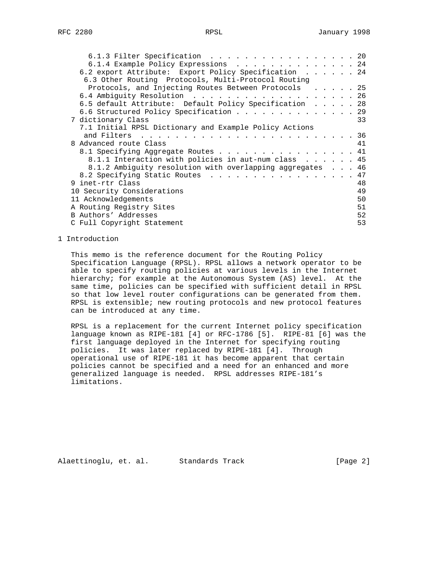| 6.1.3 Filter Specification 20                             |  |  |    |
|-----------------------------------------------------------|--|--|----|
| 6.1.4 Example Policy Expressions 24                       |  |  |    |
| 6.2 export Attribute: Export Policy Specification 24      |  |  |    |
| 6.3 Other Routing Protocols, Multi-Protocol Routing       |  |  |    |
| Protocols, and Injecting Routes Between Protocols 25      |  |  |    |
| 6.4 Ambiguity Resolution 26                               |  |  |    |
| 6.5 default Attribute: Default Policy Specification 28    |  |  |    |
| 6.6 Structured Policy Specification 29                    |  |  |    |
| 7 dictionary Class                                        |  |  | 33 |
| 7.1 Initial RPSL Dictionary and Example Policy Actions    |  |  |    |
| and Filters<br>. 36                                       |  |  |    |
| 8 Advanced route Class                                    |  |  | 41 |
| 8.1 Specifying Aggregate Routes 41                        |  |  |    |
| 8.1.1 Interaction with policies in aut-num class 45       |  |  |    |
| 8.1.2 Ambiquity resolution with overlapping aggregates 46 |  |  |    |
| 8.2 Specifying Static Routes                              |  |  | 47 |
| 9 inet-rtr Class                                          |  |  | 48 |
| 10 Security Considerations                                |  |  | 49 |
| 11 Acknowledgements                                       |  |  | 50 |
| A Routing Registry Sites                                  |  |  | 51 |
| B Authors' Addresses                                      |  |  | 52 |
| C Full Copyright Statement                                |  |  | 53 |

# 1 Introduction

 This memo is the reference document for the Routing Policy Specification Language (RPSL). RPSL allows a network operator to be able to specify routing policies at various levels in the Internet hierarchy; for example at the Autonomous System (AS) level. At the same time, policies can be specified with sufficient detail in RPSL so that low level router configurations can be generated from them. RPSL is extensible; new routing protocols and new protocol features can be introduced at any time.

 RPSL is a replacement for the current Internet policy specification language known as RIPE-181 [4] or RFC-1786 [5]. RIPE-81 [6] was the first language deployed in the Internet for specifying routing policies. It was later replaced by RIPE-181 [4]. Through operational use of RIPE-181 it has become apparent that certain policies cannot be specified and a need for an enhanced and more generalized language is needed. RPSL addresses RIPE-181's limitations.

Alaettinoglu, et. al. Standards Track [Page 2]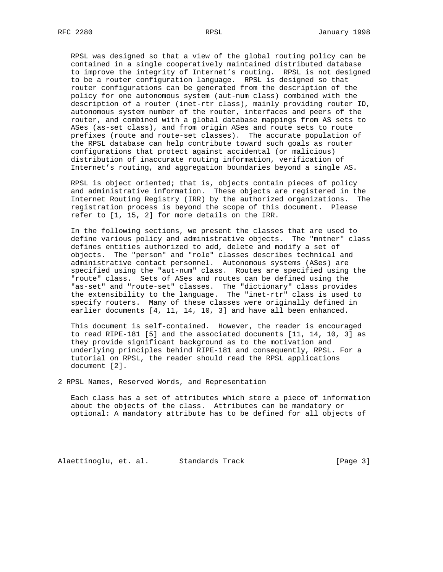RPSL was designed so that a view of the global routing policy can be contained in a single cooperatively maintained distributed database to improve the integrity of Internet's routing. RPSL is not designed to be a router configuration language. RPSL is designed so that router configurations can be generated from the description of the policy for one autonomous system (aut-num class) combined with the description of a router (inet-rtr class), mainly providing router ID, autonomous system number of the router, interfaces and peers of the router, and combined with a global database mappings from AS sets to ASes (as-set class), and from origin ASes and route sets to route prefixes (route and route-set classes). The accurate population of the RPSL database can help contribute toward such goals as router configurations that protect against accidental (or malicious) distribution of inaccurate routing information, verification of Internet's routing, and aggregation boundaries beyond a single AS.

 RPSL is object oriented; that is, objects contain pieces of policy and administrative information. These objects are registered in the Internet Routing Registry (IRR) by the authorized organizations. The registration process is beyond the scope of this document. Please refer to [1, 15, 2] for more details on the IRR.

 In the following sections, we present the classes that are used to define various policy and administrative objects. The "mntner" class defines entities authorized to add, delete and modify a set of objects. The "person" and "role" classes describes technical and administrative contact personnel. Autonomous systems (ASes) are specified using the "aut-num" class. Routes are specified using the "route" class. Sets of ASes and routes can be defined using the "as-set" and "route-set" classes. The "dictionary" class provides the extensibility to the language. The "inet-rtr" class is used to specify routers. Many of these classes were originally defined in earlier documents [4, 11, 14, 10, 3] and have all been enhanced.

 This document is self-contained. However, the reader is encouraged to read RIPE-181 [5] and the associated documents [11, 14, 10, 3] as they provide significant background as to the motivation and underlying principles behind RIPE-181 and consequently, RPSL. For a tutorial on RPSL, the reader should read the RPSL applications document [2].

2 RPSL Names, Reserved Words, and Representation

 Each class has a set of attributes which store a piece of information about the objects of the class. Attributes can be mandatory or optional: A mandatory attribute has to be defined for all objects of

Alaettinoglu, et. al. Standards Track [Page 3]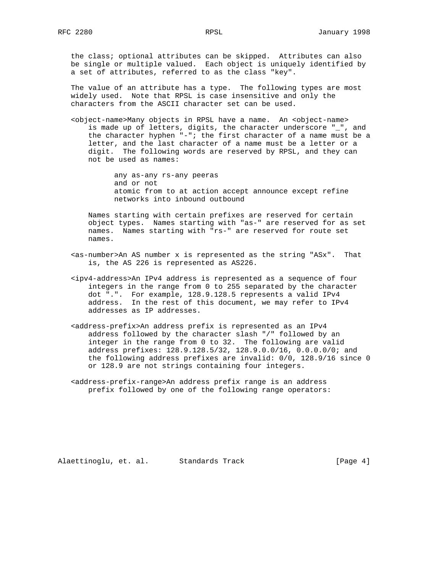the class; optional attributes can be skipped. Attributes can also be single or multiple valued. Each object is uniquely identified by a set of attributes, referred to as the class "key".

 The value of an attribute has a type. The following types are most widely used. Note that RPSL is case insensitive and only the characters from the ASCII character set can be used.

 <object-name>Many objects in RPSL have a name. An <object-name> is made up of letters, digits, the character underscore "\_", and the character hyphen "-"; the first character of a name must be a letter, and the last character of a name must be a letter or a digit. The following words are reserved by RPSL, and they can not be used as names:

> any as-any rs-any peeras and or not atomic from to at action accept announce except refine networks into inbound outbound

 Names starting with certain prefixes are reserved for certain object types. Names starting with "as-" are reserved for as set names. Names starting with "rs-" are reserved for route set names.

- <as-number>An AS number x is represented as the string "ASx". That is, the AS 226 is represented as AS226.
- <ipv4-address>An IPv4 address is represented as a sequence of four integers in the range from 0 to 255 separated by the character dot ".". For example, 128.9.128.5 represents a valid IPv4 address. In the rest of this document, we may refer to IPv4 addresses as IP addresses.
- <address-prefix>An address prefix is represented as an IPv4 address followed by the character slash "/" followed by an integer in the range from 0 to 32. The following are valid address prefixes: 128.9.128.5/32, 128.9.0.0/16, 0.0.0.0/0; and the following address prefixes are invalid: 0/0, 128.9/16 since 0 or 128.9 are not strings containing four integers.
- <address-prefix-range>An address prefix range is an address prefix followed by one of the following range operators:

Alaettinoglu, et. al. Standards Track [Page 4]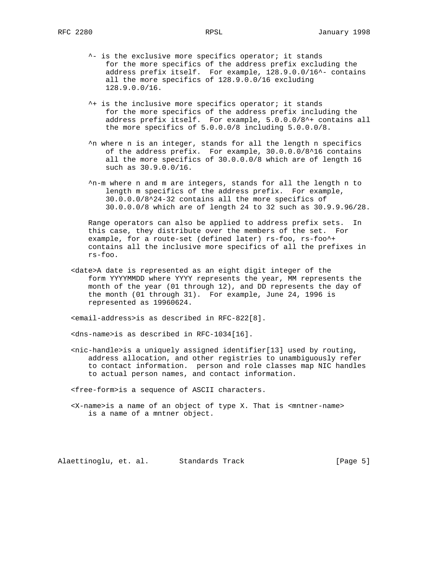- ^- is the exclusive more specifics operator; it stands for the more specifics of the address prefix excluding the address prefix itself. For example, 128.9.0.0/16^- contains all the more specifics of 128.9.0.0/16 excluding 128.9.0.0/16.
- ^+ is the inclusive more specifics operator; it stands for the more specifics of the address prefix including the address prefix itself. For example, 5.0.0.0/8^+ contains all the more specifics of 5.0.0.0/8 including 5.0.0.0/8.
- ^n where n is an integer, stands for all the length n specifics of the address prefix. For example, 30.0.0.0/8^16 contains all the more specifics of 30.0.0.0/8 which are of length 16 such as 30.9.0.0/16.
- ^n-m where n and m are integers, stands for all the length n to length m specifics of the address prefix. For example, 30.0.0.0/8^24-32 contains all the more specifics of 30.0.0.0/8 which are of length 24 to 32 such as 30.9.9.96/28.

 Range operators can also be applied to address prefix sets. In this case, they distribute over the members of the set. For example, for a route-set (defined later) rs-foo, rs-foo^+ contains all the inclusive more specifics of all the prefixes in rs-foo.

 <date>A date is represented as an eight digit integer of the form YYYYMMDD where YYYY represents the year, MM represents the month of the year (01 through 12), and DD represents the day of the month (01 through 31). For example, June 24, 1996 is represented as 19960624.

<email-address>is as described in RFC-822[8].

<dns-name>is as described in RFC-1034[16].

 $<$ nic-handle>is a uniquely assigned identifier[13] used by routing, address allocation, and other registries to unambiguously refer to contact information. person and role classes map NIC handles to actual person names, and contact information.

<free-form>is a sequence of ASCII characters.

 <X-name>is a name of an object of type X. That is <mntner-name> is a name of a mntner object.

Alaettinoglu, et. al. Standards Track [Page 5]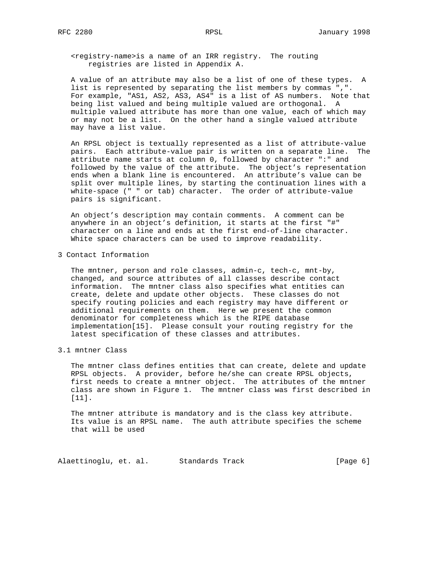<registry-name>is a name of an IRR registry. The routing registries are listed in Appendix A.

 A value of an attribute may also be a list of one of these types. A list is represented by separating the list members by commas ",". For example, "AS1, AS2, AS3, AS4" is a list of AS numbers. Note that being list valued and being multiple valued are orthogonal. A multiple valued attribute has more than one value, each of which may or may not be a list. On the other hand a single valued attribute may have a list value.

 An RPSL object is textually represented as a list of attribute-value pairs. Each attribute-value pair is written on a separate line. The attribute name starts at column 0, followed by character ":" and followed by the value of the attribute. The object's representation ends when a blank line is encountered. An attribute's value can be split over multiple lines, by starting the continuation lines with a white-space (" " or tab) character. The order of attribute-value pairs is significant.

 An object's description may contain comments. A comment can be anywhere in an object's definition, it starts at the first "#" character on a line and ends at the first end-of-line character. White space characters can be used to improve readability.

3 Contact Information

 The mntner, person and role classes, admin-c, tech-c, mnt-by, changed, and source attributes of all classes describe contact information. The mntner class also specifies what entities can create, delete and update other objects. These classes do not specify routing policies and each registry may have different or additional requirements on them. Here we present the common denominator for completeness which is the RIPE database implementation[15]. Please consult your routing registry for the latest specification of these classes and attributes.

3.1 mntner Class

 The mntner class defines entities that can create, delete and update RPSL objects. A provider, before he/she can create RPSL objects, first needs to create a mntner object. The attributes of the mntner class are shown in Figure 1. The mntner class was first described in [11].

 The mntner attribute is mandatory and is the class key attribute. Its value is an RPSL name. The auth attribute specifies the scheme that will be used

Alaettinoglu, et. al. Standards Track [Page 6]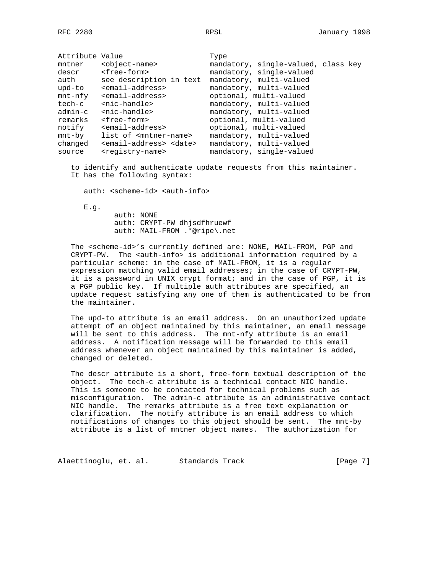| Attribute Value |                                               | Type                                |
|-----------------|-----------------------------------------------|-------------------------------------|
| mntner          | <object-name></object-name>                   | mandatory, single-valued, class key |
| descr           | <free-form></free-form>                       | mandatory, single-valued            |
| auth            | see description in text                       | mandatory, multi-valued             |
| upd-to          | <email-address></email-address>               | mandatory, multi-valued             |
| $mnt-nfy$       | <email-address></email-address>               | optional, multi-valued              |
| tech-c          | <nic-handle></nic-handle>                     | mandatory, multi-valued             |
| admin-c         | <nic-handle></nic-handle>                     | mandatory, multi-valued             |
| remarks         | <free-form></free-form>                       | optional, multi-valued              |
| notify          | <email-address></email-address>               | optional, multi-valued              |
| $mnt-by$        | list of <mntner-name></mntner-name>           | mandatory, multi-valued             |
| changed         | <email-address> <date></date></email-address> | mandatory, multi-valued             |
| source          | <registry-name></registry-name>               | mandatory, single-valued            |

 to identify and authenticate update requests from this maintainer. It has the following syntax:

auth: <scheme-id> <auth-info>

E.g.

 auth: NONE auth: CRYPT-PW dhjsdfhruewf auth: MAIL-FROM .\*@ripe\.net

 The <scheme-id>'s currently defined are: NONE, MAIL-FROM, PGP and CRYPT-PW. The <auth-info> is additional information required by a particular scheme: in the case of MAIL-FROM, it is a regular expression matching valid email addresses; in the case of CRYPT-PW, it is a password in UNIX crypt format; and in the case of PGP, it is a PGP public key. If multiple auth attributes are specified, an update request satisfying any one of them is authenticated to be from the maintainer.

 The upd-to attribute is an email address. On an unauthorized update attempt of an object maintained by this maintainer, an email message will be sent to this address. The mnt-nfy attribute is an email address. A notification message will be forwarded to this email address whenever an object maintained by this maintainer is added, changed or deleted.

 The descr attribute is a short, free-form textual description of the object. The tech-c attribute is a technical contact NIC handle. This is someone to be contacted for technical problems such as misconfiguration. The admin-c attribute is an administrative contact NIC handle. The remarks attribute is a free text explanation or clarification. The notify attribute is an email address to which notifications of changes to this object should be sent. The mnt-by attribute is a list of mntner object names. The authorization for

Alaettinoglu, et. al. Standards Track [Page 7]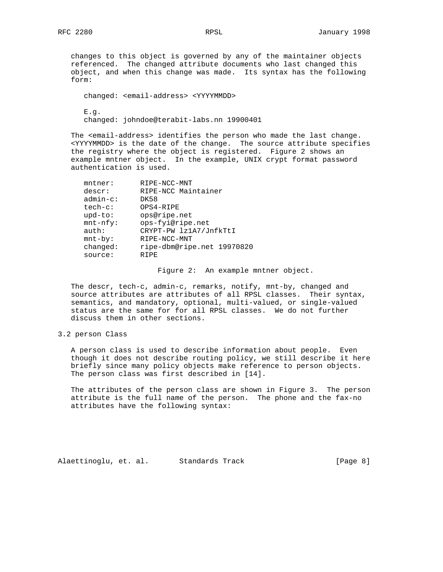changes to this object is governed by any of the maintainer objects referenced. The changed attribute documents who last changed this object, and when this change was made. Its syntax has the following form:

 changed: <email-address> <YYYYMMDD> E.g.

changed: johndoe@terabit-labs.nn 19900401

 The <email-address> identifies the person who made the last change. <YYYYMMDD> is the date of the change. The source attribute specifies the registry where the object is registered. Figure 2 shows an example mntner object. In the example, UNIX crypt format password authentication is used.

| $m$ tner:   | RIPE-NCC-MNT               |
|-------------|----------------------------|
| descr:      | RIPE-NCC Maintainer        |
| $admin-c$ : | DK58                       |
| $tech-c$ :  | OPS4-RIPE                  |
| $upd-to$ :  | ops@ripe.net               |
| $mnt-nfy$ : | ops-fyi@ripe.net           |
| auth:       | CRYPT-PW lz1A7/JnfkTtI     |
| $mnt-by$ :  | RIPE-NCC-MNT               |
| changed:    | ripe-dbm@ripe.net 19970820 |
| source:     | RTPE                       |
|             |                            |

Figure 2: An example mntner object.

 The descr, tech-c, admin-c, remarks, notify, mnt-by, changed and source attributes are attributes of all RPSL classes. Their syntax, semantics, and mandatory, optional, multi-valued, or single-valued status are the same for for all RPSL classes. We do not further discuss them in other sections.

# 3.2 person Class

 A person class is used to describe information about people. Even though it does not describe routing policy, we still describe it here briefly since many policy objects make reference to person objects. The person class was first described in [14].

 The attributes of the person class are shown in Figure 3. The person attribute is the full name of the person. The phone and the fax-no attributes have the following syntax:

Alaettinoglu, et. al. Standards Track [Page 8]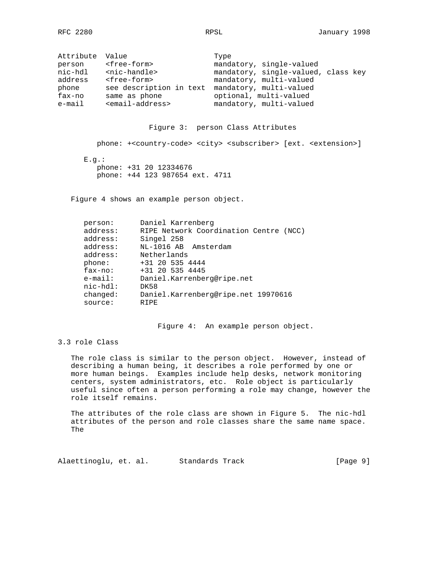| Attribute Value |                                 | Type                                |
|-----------------|---------------------------------|-------------------------------------|
| person          | <free-form></free-form>         | mandatory, single-valued            |
| nic-hdl         | <nic-handle></nic-handle>       | mandatory, single-valued, class key |
| address         | <free-form></free-form>         | mandatory, multi-valued             |
| phone           | see description in text         | mandatory, multi-valued             |
| fax-no          | same as phone                   | optional, multi-valued              |
| $e$ -mail       | <email-address></email-address> | mandatory, multi-valued             |

## Figure 3: person Class Attributes

phone: +<country-code> <city> <subscriber> [ext. <extension>]

 $E.g.:$  phone: +31 20 12334676 phone: +44 123 987654 ext. 4711

Figure 4 shows an example person object.

| person:     | Daniel Karrenberg                      |
|-------------|----------------------------------------|
| address:    | RIPE Network Coordination Centre (NCC) |
| address:    | Singel 258                             |
| address:    | NL-1016 AB Amsterdam                   |
| address:    | Netherlands                            |
| phone:      | +31 20 535 4444                        |
| $fax-no:$   | +31 20 535 4445                        |
| $e$ -mail:  | Daniel.Karrenberg@ripe.net             |
| $nic-hd1$ : | DK58                                   |
| changed:    | Daniel.Karrenberg@ripe.net 19970616    |
| source:     | RTPE                                   |
|             |                                        |

Figure 4: An example person object.

# 3.3 role Class

 The role class is similar to the person object. However, instead of describing a human being, it describes a role performed by one or more human beings. Examples include help desks, network monitoring centers, system administrators, etc. Role object is particularly useful since often a person performing a role may change, however the role itself remains.

 The attributes of the role class are shown in Figure 5. The nic-hdl attributes of the person and role classes share the same name space. The

Alaettinoglu, et. al. Standards Track [Page 9]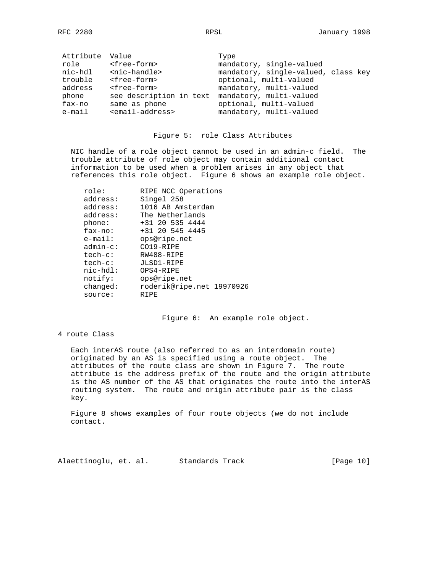| Attribute Value |                                 | Type                                |
|-----------------|---------------------------------|-------------------------------------|
| role            | <free-form></free-form>         | mandatory, single-valued            |
| nic-hdl         | <nic-handle></nic-handle>       | mandatory, single-valued, class key |
| trouble         | <free-form></free-form>         | optional, multi-valued              |
| address         | <free-form></free-form>         | mandatory, multi-valued             |
| phone           | see description in text         | mandatory, multi-valued             |
| fax-no          | same as phone                   | optional, multi-valued              |
| $e$ -mail       | <email-address></email-address> | mandatory, multi-valued             |

#### Figure 5: role Class Attributes

 NIC handle of a role object cannot be used in an admin-c field. The trouble attribute of role object may contain additional contact information to be used when a problem arises in any object that references this role object. Figure 6 shows an example role object.

| role:<br>address: | RIPE NCC Operations<br>Singel 258 |
|-------------------|-----------------------------------|
| address:          | 1016 AB Amsterdam                 |
| address:          | The Netherlands                   |
| phone:            | +31 20 535 4444                   |
| $fax-no$ :        | +31 20 545 4445                   |
| $e$ -mail:        | ops@ripe.net                      |
| $admin-c$ :       | CO19-RIPE                         |
| $tech-c$ :        | RW488-RIPE                        |
| $tech-c$ :        | JLSD1-RIPE                        |
| $nic-hdl$ :       | OPS4-RIPE                         |
| notify:           | ops@ripe.net                      |
| changed:          | roderik@ripe.net 19970926         |
| source:           | RIPE                              |
|                   |                                   |

Figure 6: An example role object.

# 4 route Class

 Each interAS route (also referred to as an interdomain route) originated by an AS is specified using a route object. The attributes of the route class are shown in Figure 7. The route attribute is the address prefix of the route and the origin attribute is the AS number of the AS that originates the route into the interAS routing system. The route and origin attribute pair is the class key.

 Figure 8 shows examples of four route objects (we do not include contact.

Alaettinoglu, et. al. Standards Track [Page 10]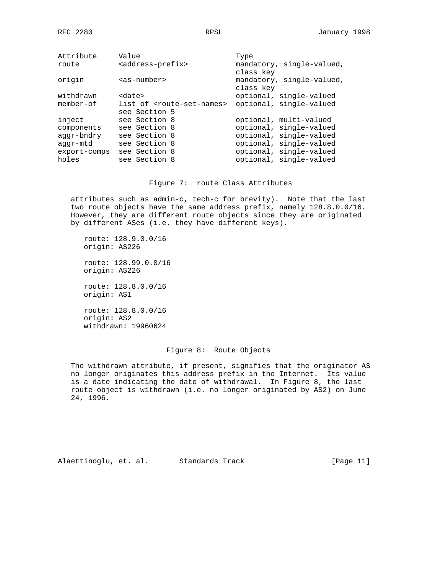| Attribute    | Value                                       | Type                      |
|--------------|---------------------------------------------|---------------------------|
| route        | <address-prefix></address-prefix>           | mandatory, single-valued, |
|              |                                             | class key                 |
| origin       | $as-number$                                 | mandatory, single-valued, |
|              |                                             | class key                 |
| withdrawn    | <date></date>                               | optional, single-valued   |
| $member-of$  | list of <route-set-names></route-set-names> | optional, single-valued   |
|              | see Section 5                               |                           |
| inject       | see Section 8                               | optional, multi-valued    |
| components   | see Section 8                               | optional, single-valued   |
| aggr-bndry   | see Section 8                               | optional, single-valued   |
| aggr-mtd     | see Section 8                               | optional, single-valued   |
| export-comps | see Section 8                               | optional, single-valued   |
| holes        | see Section 8                               | optional, single-valued   |
|              |                                             |                           |

Figure 7: route Class Attributes

 attributes such as admin-c, tech-c for brevity). Note that the last two route objects have the same address prefix, namely 128.8.0.0/16. However, they are different route objects since they are originated by different ASes (i.e. they have different keys).

 route: 128.9.0.0/16 origin: AS226 route: 128.99.0.0/16 origin: AS226 route: 128.8.0.0/16

 origin: AS1 route: 128.8.0.0/16

 origin: AS2 withdrawn: 19960624

# Figure 8: Route Objects

 The withdrawn attribute, if present, signifies that the originator AS no longer originates this address prefix in the Internet. Its value is a date indicating the date of withdrawal. In Figure 8, the last route object is withdrawn (i.e. no longer originated by AS2) on June 24, 1996.

Alaettinoglu, et. al. Standards Track [Page 11]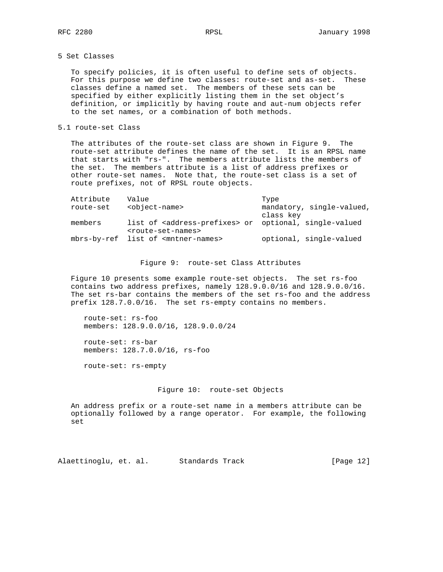# 5 Set Classes

 To specify policies, it is often useful to define sets of objects. For this purpose we define two classes: route-set and as-set. These classes define a named set. The members of these sets can be specified by either explicitly listing them in the set object's definition, or implicitly by having route and aut-num objects refer to the set names, or a combination of both methods.

# 5.1 route-set Class

 The attributes of the route-set class are shown in Figure 9. The route-set attribute defines the name of the set. It is an RPSL name that starts with "rs-". The members attribute lists the members of the set. The members attribute is a list of address prefixes or other route-set names. Note that, the route-set class is a set of route prefixes, not of RPSL route objects.

| Attribute<br>route-set | Value<br><object-name></object-name>                                                                             | Type<br>mandatory, single-valued,<br>class key |
|------------------------|------------------------------------------------------------------------------------------------------------------|------------------------------------------------|
| members                | list of <address-prefixes> or optional, single-valued<br/><route-set-names></route-set-names></address-prefixes> |                                                |
|                        | mbrs-by-ref list of <mntner-names></mntner-names>                                                                | optional, single-valued                        |

Figure 9: route-set Class Attributes

 Figure 10 presents some example route-set objects. The set rs-foo contains two address prefixes, namely 128.9.0.0/16 and 128.9.0.0/16. The set rs-bar contains the members of the set rs-foo and the address prefix 128.7.0.0/16. The set rs-empty contains no members.

 route-set: rs-foo members: 128.9.0.0/16, 128.9.0.0/24

 route-set: rs-bar members: 128.7.0.0/16, rs-foo

route-set: rs-empty

### Figure 10: route-set Objects

 An address prefix or a route-set name in a members attribute can be optionally followed by a range operator. For example, the following set

Alaettinoglu, et. al. Standards Track [Page 12]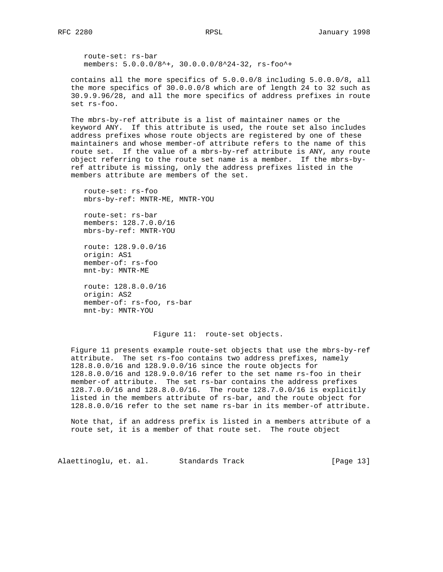route-set: rs-bar members: 5.0.0.0/8^+, 30.0.0.0/8^24-32, rs-foo^+

 contains all the more specifics of 5.0.0.0/8 including 5.0.0.0/8, all the more specifics of 30.0.0.0/8 which are of length 24 to 32 such as 30.9.9.96/28, and all the more specifics of address prefixes in route set rs-foo.

 The mbrs-by-ref attribute is a list of maintainer names or the keyword ANY. If this attribute is used, the route set also includes address prefixes whose route objects are registered by one of these maintainers and whose member-of attribute refers to the name of this route set. If the value of a mbrs-by-ref attribute is ANY, any route object referring to the route set name is a member. If the mbrs-by ref attribute is missing, only the address prefixes listed in the members attribute are members of the set.

 route-set: rs-foo mbrs-by-ref: MNTR-ME, MNTR-YOU

 route-set: rs-bar members: 128.7.0.0/16 mbrs-by-ref: MNTR-YOU

 route: 128.9.0.0/16 origin: AS1 member-of: rs-foo mnt-by: MNTR-ME

 route: 128.8.0.0/16 origin: AS2 member-of: rs-foo, rs-bar mnt-by: MNTR-YOU

#### Figure 11: route-set objects.

 Figure 11 presents example route-set objects that use the mbrs-by-ref attribute. The set rs-foo contains two address prefixes, namely 128.8.0.0/16 and 128.9.0.0/16 since the route objects for 128.8.0.0/16 and 128.9.0.0/16 refer to the set name rs-foo in their member-of attribute. The set rs-bar contains the address prefixes 128.7.0.0/16 and 128.8.0.0/16. The route 128.7.0.0/16 is explicitly listed in the members attribute of rs-bar, and the route object for 128.8.0.0/16 refer to the set name rs-bar in its member-of attribute.

 Note that, if an address prefix is listed in a members attribute of a route set, it is a member of that route set. The route object

Alaettinoglu, et. al. Standards Track [Page 13]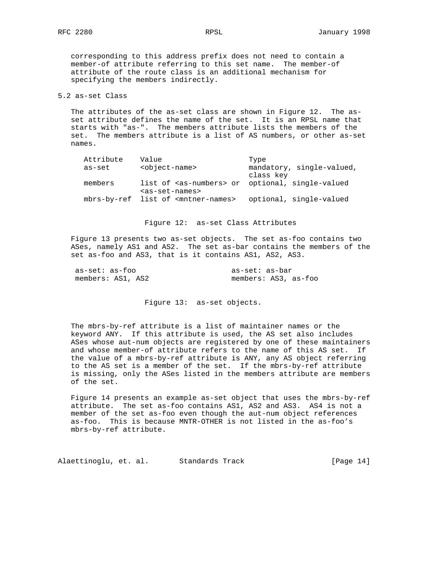corresponding to this address prefix does not need to contain a member-of attribute referring to this set name. The member-of attribute of the route class is an additional mechanism for specifying the members indirectly.

### 5.2 as-set Class

 The attributes of the as-set class are shown in Figure 12. The as set attribute defines the name of the set. It is an RPSL name that starts with "as-". The members attribute lists the members of the set. The members attribute is a list of AS numbers, or other as-set names.

| Attribute | Value                                                        | Type                      |
|-----------|--------------------------------------------------------------|---------------------------|
| as-set    | <object-name></object-name>                                  | mandatory, single-valued, |
|           |                                                              | class key                 |
| members   | list of <as-numbers> or optional, single-valued</as-numbers> |                           |
|           | <as-set-names></as-set-names>                                |                           |
|           | mbrs-by-ref list of <mntner-names></mntner-names>            | optional, single-valued   |

#### Figure 12: as-set Class Attributes

 Figure 13 presents two as-set objects. The set as-foo contains two ASes, namely AS1 and AS2. The set as-bar contains the members of the set as-foo and AS3, that is it contains AS1, AS2, AS3.

| as-set: as-foo    | as-set: as-bar       |
|-------------------|----------------------|
| members: AS1, AS2 | members: AS3, as-foo |

Figure 13: as-set objects.

 The mbrs-by-ref attribute is a list of maintainer names or the keyword ANY. If this attribute is used, the AS set also includes ASes whose aut-num objects are registered by one of these maintainers and whose member-of attribute refers to the name of this AS set. If the value of a mbrs-by-ref attribute is ANY, any AS object referring to the AS set is a member of the set. If the mbrs-by-ref attribute is missing, only the ASes listed in the members attribute are members of the set.

 Figure 14 presents an example as-set object that uses the mbrs-by-ref attribute. The set as-foo contains AS1, AS2 and AS3. AS4 is not a member of the set as-foo even though the aut-num object references as-foo. This is because MNTR-OTHER is not listed in the as-foo's mbrs-by-ref attribute.

Alaettinoglu, et. al. Standards Track [Page 14]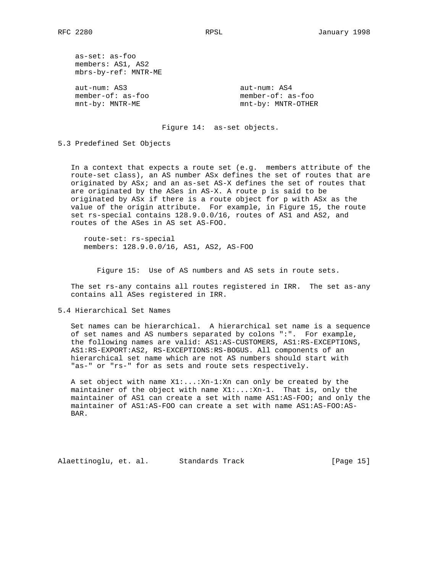as-set: as-foo members: AS1, AS2 mbrs-by-ref: MNTR-ME

 aut-num: AS3 aut-num: AS4 member-of: as-foo member-of: as-foo

mnt-by: MNTR-ME mnt-by: MNTR-OTHER

Figure 14: as-set objects.

5.3 Predefined Set Objects

 In a context that expects a route set (e.g. members attribute of the route-set class), an AS number ASx defines the set of routes that are originated by ASx; and an as-set AS-X defines the set of routes that are originated by the ASes in AS-X. A route p is said to be originated by ASx if there is a route object for p with ASx as the value of the origin attribute. For example, in Figure 15, the route set rs-special contains 128.9.0.0/16, routes of AS1 and AS2, and routes of the ASes in AS set AS-FOO.

 route-set: rs-special members: 128.9.0.0/16, AS1, AS2, AS-FOO

Figure 15: Use of AS numbers and AS sets in route sets.

 The set rs-any contains all routes registered in IRR. The set as-any contains all ASes registered in IRR.

5.4 Hierarchical Set Names

 Set names can be hierarchical. A hierarchical set name is a sequence of set names and AS numbers separated by colons ":". For example, the following names are valid: AS1:AS-CUSTOMERS, AS1:RS-EXCEPTIONS, AS1:RS-EXPORT:AS2, RS-EXCEPTIONS:RS-BOGUS. All components of an hierarchical set name which are not AS numbers should start with "as-" or "rs-" for as sets and route sets respectively.

 A set object with name X1:...:Xn-1:Xn can only be created by the maintainer of the object with name  $X1:...:Xn-1$ . That is, only the maintainer of AS1 can create a set with name AS1:AS-FOO; and only the maintainer of AS1:AS-FOO can create a set with name AS1:AS-FOO:AS- BAR.

Alaettinoglu, et. al. Standards Track [Page 15]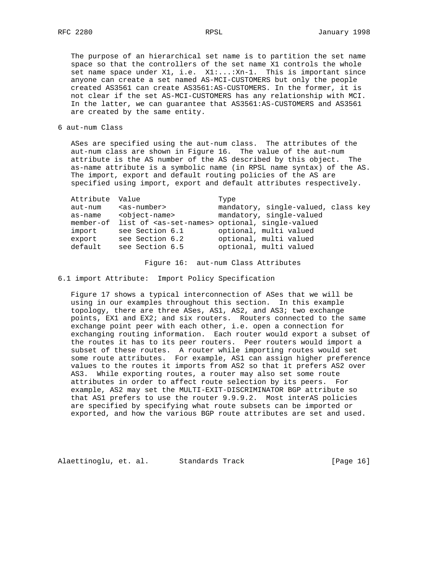The purpose of an hierarchical set name is to partition the set name space so that the controllers of the set name X1 controls the whole set name space under X1, i.e. X1:...:Xn-1. This is important since anyone can create a set named AS-MCI-CUSTOMERS but only the people created AS3561 can create AS3561:AS-CUSTOMERS. In the former, it is not clear if the set AS-MCI-CUSTOMERS has any relationship with MCI. In the latter, we can guarantee that AS3561:AS-CUSTOMERS and AS3561 are created by the same entity.

6 aut-num Class

 ASes are specified using the aut-num class. The attributes of the aut-num class are shown in Figure 16. The value of the aut-num attribute is the AS number of the AS described by this object. The as-name attribute is a symbolic name (in RPSL name syntax) of the AS. The import, export and default routing policies of the AS are specified using import, export and default attributes respectively.

| Attribute Value |                             | Type                                                                    |
|-----------------|-----------------------------|-------------------------------------------------------------------------|
| aut-num         | <as-number></as-number>     | mandatory, single-valued, class key                                     |
| as-name         | <object-name></object-name> | mandatory, single-valued                                                |
|                 |                             | member-of list of <as-set-names> optional, single-valued</as-set-names> |
| import          | see Section 6.1             | optional, multi valued                                                  |
| export          | see Section 6.2             | optional, multi valued                                                  |
| default         | see Section 6.5             | optional, multi valued                                                  |
|                 |                             |                                                                         |

Figure 16: aut-num Class Attributes

6.1 import Attribute: Import Policy Specification

 Figure 17 shows a typical interconnection of ASes that we will be using in our examples throughout this section. In this example topology, there are three ASes, AS1, AS2, and AS3; two exchange points, EX1 and EX2; and six routers. Routers connected to the same exchange point peer with each other, i.e. open a connection for exchanging routing information. Each router would export a subset of the routes it has to its peer routers. Peer routers would import a subset of these routes. A router while importing routes would set some route attributes. For example, AS1 can assign higher preference values to the routes it imports from AS2 so that it prefers AS2 over AS3. While exporting routes, a router may also set some route attributes in order to affect route selection by its peers. For example, AS2 may set the MULTI-EXIT-DISCRIMINATOR BGP attribute so that AS1 prefers to use the router 9.9.9.2. Most interAS policies are specified by specifying what route subsets can be imported or exported, and how the various BGP route attributes are set and used.

Alaettinoglu, et. al. Standards Track [Page 16]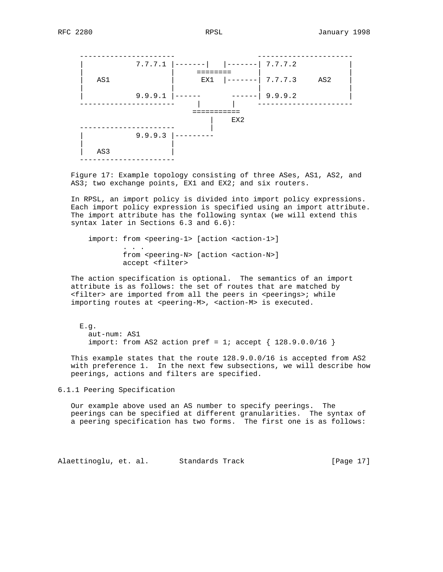

 Figure 17: Example topology consisting of three ASes, AS1, AS2, and AS3; two exchange points, EX1 and EX2; and six routers.

 In RPSL, an import policy is divided into import policy expressions. Each import policy expression is specified using an import attribute. The import attribute has the following syntax (we will extend this syntax later in Sections 6.3 and 6.6):

 import: from <peering-1> [action <action-1>] . . . from <peering-N> [action <action-N>] accept <filter>

 The action specification is optional. The semantics of an import attribute is as follows: the set of routes that are matched by <filter> are imported from all the peers in <peerings>; while importing routes at <peering-M>, <action-M> is executed.

 E.g. aut-num: AS1 import: from AS2 action pref = 1; accept  $\{ 128.9.0.0/16 \}$ 

 This example states that the route 128.9.0.0/16 is accepted from AS2 with preference 1. In the next few subsections, we will describe how peerings, actions and filters are specified.

6.1.1 Peering Specification

 Our example above used an AS number to specify peerings. The peerings can be specified at different granularities. The syntax of a peering specification has two forms. The first one is as follows:

Alaettinoglu, et. al. Standards Track (Page 17)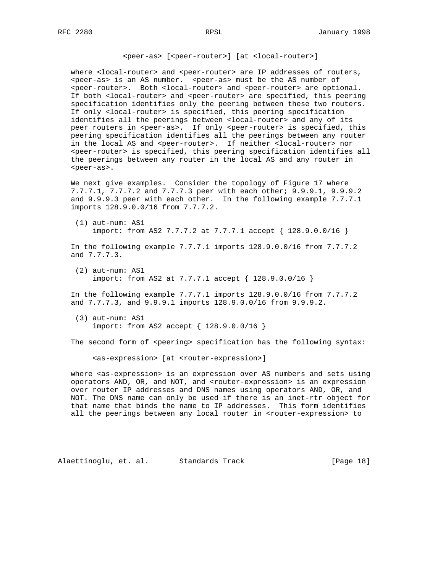<peer-as> [<peer-router>] [at <local-router>]

where <local-router> and <peer-router> are IP addresses of routers, <peer-as> is an AS number. <peer-as> must be the AS number of <peer-router>. Both <local-router> and <peer-router> are optional. If both <local-router> and <peer-router> are specified, this peering specification identifies only the peering between these two routers. If only <local-router> is specified, this peering specification identifies all the peerings between <local-router> and any of its peer routers in <peer-as>. If only <peer-router> is specified, this peering specification identifies all the peerings between any router in the local AS and <peer-router>. If neither <local-router> nor <peer-router> is specified, this peering specification identifies all the peerings between any router in the local AS and any router in <peer-as>.

 We next give examples. Consider the topology of Figure 17 where 7.7.7.1, 7.7.7.2 and 7.7.7.3 peer with each other; 9.9.9.1, 9.9.9.2 and 9.9.9.3 peer with each other. In the following example 7.7.7.1 imports 128.9.0.0/16 from 7.7.7.2.

 (1) aut-num: AS1 import: from AS2 7.7.7.2 at 7.7.7.1 accept { 128.9.0.0/16 }

 In the following example 7.7.7.1 imports 128.9.0.0/16 from 7.7.7.2 and 7.7.7.3.

 (2) aut-num: AS1 import: from AS2 at 7.7.7.1 accept { 128.9.0.0/16 }

 In the following example 7.7.7.1 imports 128.9.0.0/16 from 7.7.7.2 and 7.7.7.3, and 9.9.9.1 imports 128.9.0.0/16 from 9.9.9.2.

 (3) aut-num: AS1 import: from AS2 accept { 128.9.0.0/16 }

The second form of <peering> specification has the following syntax:

<as-expression> [at <router-expression>]

 where <as-expression> is an expression over AS numbers and sets using operators AND, OR, and NOT, and <router-expression> is an expression over router IP addresses and DNS names using operators AND, OR, and NOT. The DNS name can only be used if there is an inet-rtr object for that name that binds the name to IP addresses. This form identifies all the peerings between any local router in <router-expression> to

Alaettinoglu, et. al. Standards Track [Page 18]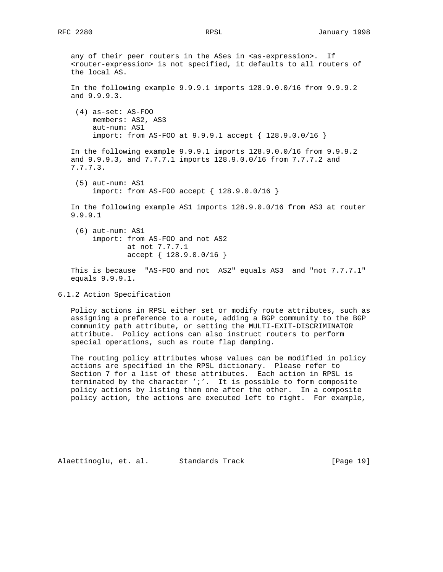any of their peer routers in the ASes in <as-expression>. If <router-expression> is not specified, it defaults to all routers of the local AS. In the following example 9.9.9.1 imports 128.9.0.0/16 from 9.9.9.2 and 9.9.9.3. (4) as-set: AS-FOO members: AS2, AS3 aut-num: AS1 import: from AS-FOO at 9.9.9.1 accept { 128.9.0.0/16 } In the following example 9.9.9.1 imports 128.9.0.0/16 from 9.9.9.2 and 9.9.9.3, and 7.7.7.1 imports 128.9.0.0/16 from 7.7.7.2 and 7.7.7.3. (5) aut-num: AS1 import: from AS-FOO accept { 128.9.0.0/16 } In the following example AS1 imports 128.9.0.0/16 from AS3 at router 9.9.9.1 (6) aut-num: AS1 import: from AS-FOO and not AS2 at not 7.7.7.1 accept { 128.9.0.0/16 } This is because "AS-FOO and not AS2" equals AS3 and "not 7.7.7.1" equals 9.9.9.1.

6.1.2 Action Specification

 Policy actions in RPSL either set or modify route attributes, such as assigning a preference to a route, adding a BGP community to the BGP community path attribute, or setting the MULTI-EXIT-DISCRIMINATOR attribute. Policy actions can also instruct routers to perform special operations, such as route flap damping.

 The routing policy attributes whose values can be modified in policy actions are specified in the RPSL dictionary. Please refer to Section 7 for a list of these attributes. Each action in RPSL is terminated by the character ';'. It is possible to form composite policy actions by listing them one after the other. In a composite policy action, the actions are executed left to right. For example,

Alaettinoglu, et. al. Standards Track [Page 19]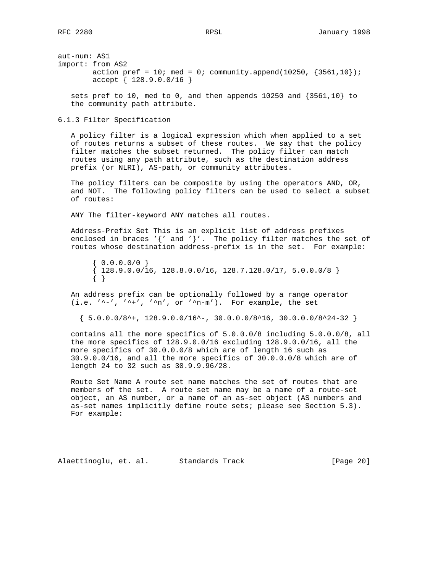aut-num: AS1 import: from AS2 action pref =  $10$ ; med =  $0$ ; community.append(10250, {3561,10}); accept { 128.9.0.0/16 }

 sets pref to 10, med to 0, and then appends 10250 and {3561,10} to the community path attribute.

6.1.3 Filter Specification

 A policy filter is a logical expression which when applied to a set of routes returns a subset of these routes. We say that the policy filter matches the subset returned. The policy filter can match routes using any path attribute, such as the destination address prefix (or NLRI), AS-path, or community attributes.

 The policy filters can be composite by using the operators AND, OR, and NOT. The following policy filters can be used to select a subset of routes:

ANY The filter-keyword ANY matches all routes.

 Address-Prefix Set This is an explicit list of address prefixes enclosed in braces '{' and '}'. The policy filter matches the set of routes whose destination address-prefix is in the set. For example:

 $\{ 0.0.0.0/0 \}$  ${128.9.0.0/16, 128.8.0.0/16, 128.7.128.0/17, 5.0.0.0/8}$ { }

 An address prefix can be optionally followed by a range operator (i.e.  $\lambda'$ -',  $\lambda'$ +',  $\lambda'$ n', or  $\lambda'$ n-m'). For example, the set

 $\{ 5.0.0.0/8^{\star}+, 128.9.0.0/16^{\star}-, 30.0.0.0/8^{\star}16, 30.0.0.0/8^{\star}24-32 \}$ 

 contains all the more specifics of 5.0.0.0/8 including 5.0.0.0/8, all the more specifics of 128.9.0.0/16 excluding 128.9.0.0/16, all the more specifics of 30.0.0.0/8 which are of length 16 such as 30.9.0.0/16, and all the more specifics of 30.0.0.0/8 which are of length 24 to 32 such as 30.9.9.96/28.

 Route Set Name A route set name matches the set of routes that are members of the set. A route set name may be a name of a route-set object, an AS number, or a name of an as-set object (AS numbers and as-set names implicitly define route sets; please see Section 5.3). For example:

Alaettinoglu, et. al. Standards Track [Page 20]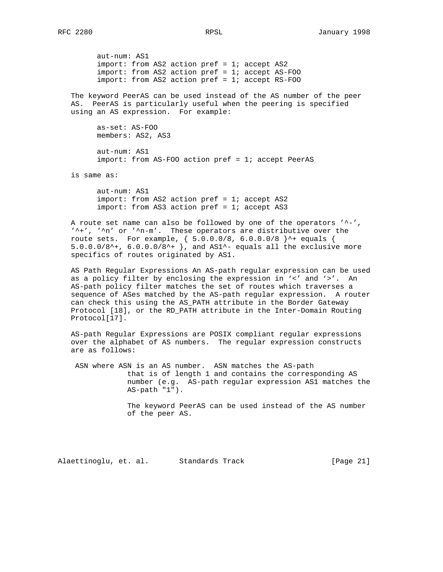aut-num: AS1 import: from AS2 action pref = 1; accept AS2 import: from AS2 action pref = 1; accept AS-FOO import: from AS2 action pref = 1; accept RS-FOO

 The keyword PeerAS can be used instead of the AS number of the peer AS. PeerAS is particularly useful when the peering is specified using an AS expression. For example:

 as-set: AS-FOO members: AS2, AS3

 aut-num: AS1 import: from AS-FOO action pref = 1; accept PeerAS

is same as:

 aut-num: AS1 import: from AS2 action pref = 1; accept AS2 import: from AS3 action pref = 1; accept AS3

A route set name can also be followed by one of the operators '^-', '^+', '^n' or '^n-m'. These operators are distributive over the route sets. For example, { 5.0.0.0/8, 6.0.0.0/8 }^+ equals { 5.0.0.0/8^+,  $6.0.0.0/8$ ^+ }, and AS1^- equals all the exclusive more specifics of routes originated by AS1.

 AS Path Regular Expressions An AS-path regular expression can be used as a policy filter by enclosing the expression in '<' and '>'. An AS-path policy filter matches the set of routes which traverses a sequence of ASes matched by the AS-path regular expression. A router can check this using the AS\_PATH attribute in the Border Gateway Protocol [18], or the RD\_PATH attribute in the Inter-Domain Routing Protocol[17].

 AS-path Regular Expressions are POSIX compliant regular expressions over the alphabet of AS numbers. The regular expression constructs are as follows:

 ASN where ASN is an AS number. ASN matches the AS-path that is of length 1 and contains the corresponding AS number (e.g. AS-path regular expression AS1 matches the AS-path "1").

> The keyword PeerAS can be used instead of the AS number of the peer AS.

Alaettinoglu, et. al. Standards Track [Page 21]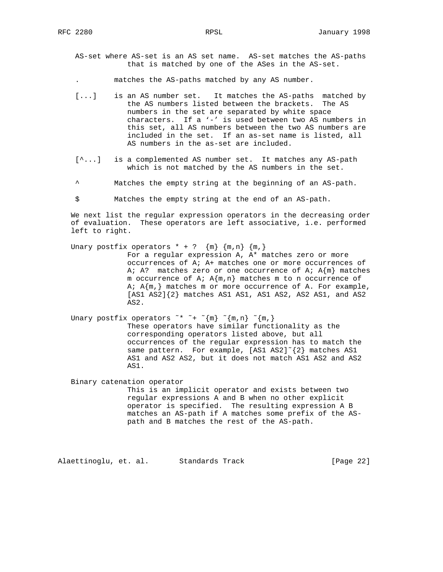AS-set where AS-set is an AS set name. AS-set matches the AS-paths that is matched by one of the ASes in the AS-set.

. matches the AS-paths matched by any AS number.

- [...] is an AS number set. It matches the AS-paths matched by the AS numbers listed between the brackets. The AS numbers in the set are separated by white space characters. If a '-' is used between two AS numbers in this set, all AS numbers between the two AS numbers are included in the set. If an as-set name is listed, all AS numbers in the as-set are included.
- [^...] is a complemented AS number set. It matches any AS-path which is not matched by the AS numbers in the set.
	- Matches the empty string at the beginning of an AS-path.

\$ Matches the empty string at the end of an AS-path.

 We next list the regular expression operators in the decreasing order of evaluation. These operators are left associative, i.e. performed left to right.

#### Unary postfix operators  $* + ?$   $\{m\}$   $\{m,n\}$   $\{m,\}$

 For a regular expression A, A\* matches zero or more occurrences of A; A+ matches one or more occurrences of A; A? matches zero or one occurrence of A;  $A{m}$  matches m occurrence of A;  $A{m,n}$  matches m to n occurrence of A;  $A{m}$ , matches m or more occurrence of A. For example, [AS1 AS2]{2} matches AS1 AS1, AS1 AS2, AS2 AS1, and AS2 AS2.

# Unary postfix operators  $x^* - \{m\}$   $\{m,n\}$   $\{m,\}$

 These operators have similar functionality as the corresponding operators listed above, but all occurrences of the regular expression has to match the same pattern. For example,  $[AS1 AS2]^{(2)}$  matches AS1 AS1 and AS2 AS2, but it does not match AS1 AS2 and AS2 AS1.

 Binary catenation operator This is an implicit operator and exists between two regular expressions A and B when no other explicit operator is specified. The resulting expression A B matches an AS-path if A matches some prefix of the AS path and B matches the rest of the AS-path.

Alaettinoglu, et. al. Standards Track [Page 22]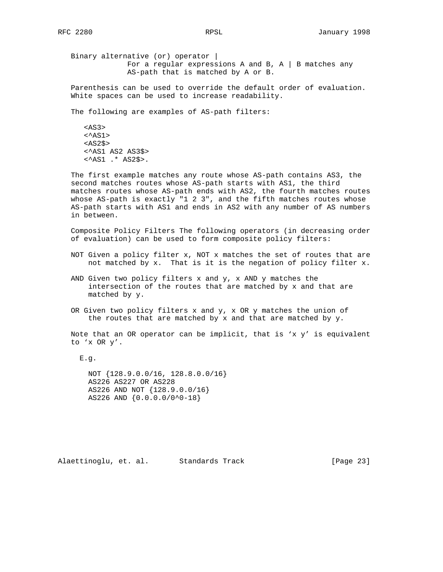Binary alternative (or) operator | For a regular expressions A and B,  $A \mid B$  matches any AS-path that is matched by A or B.

 Parenthesis can be used to override the default order of evaluation. White spaces can be used to increase readability.

The following are examples of AS-path filters:

 <AS3>  $<$ AS1>  $<$ AS2\$> <^AS1 AS2 AS3\$> <^AS1 .\* AS2\$>.

 The first example matches any route whose AS-path contains AS3, the second matches routes whose AS-path starts with AS1, the third matches routes whose AS-path ends with AS2, the fourth matches routes whose AS-path is exactly "1 2 3", and the fifth matches routes whose AS-path starts with AS1 and ends in AS2 with any number of AS numbers in between.

 Composite Policy Filters The following operators (in decreasing order of evaluation) can be used to form composite policy filters:

- NOT Given a policy filter x, NOT x matches the set of routes that are not matched by x. That is it is the negation of policy filter x.
- AND Given two policy filters x and y, x AND y matches the intersection of the routes that are matched by x and that are matched by y.
- OR Given two policy filters x and y, x OR y matches the union of the routes that are matched by  $x$  and that are matched by  $y$ .

Note that an OR operator can be implicit, that is 'x  $y'$  is equivalent to 'x OR y'.

E.g.

 NOT {128.9.0.0/16, 128.8.0.0/16} AS226 AS227 OR AS228 AS226 AND NOT {128.9.0.0/16} AS226 AND {0.0.0.0/0^0-18}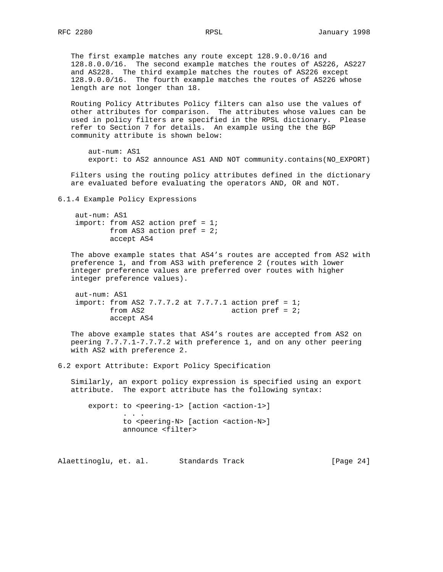The first example matches any route except 128.9.0.0/16 and 128.8.0.0/16. The second example matches the routes of AS226, AS227 and AS228. The third example matches the routes of AS226 except 128.9.0.0/16. The fourth example matches the routes of AS226 whose length are not longer than 18.

 Routing Policy Attributes Policy filters can also use the values of other attributes for comparison. The attributes whose values can be used in policy filters are specified in the RPSL dictionary. Please refer to Section 7 for details. An example using the the BGP community attribute is shown below:

 aut-num: AS1 export: to AS2 announce AS1 AND NOT community.contains(NO\_EXPORT)

 Filters using the routing policy attributes defined in the dictionary are evaluated before evaluating the operators AND, OR and NOT.

6.1.4 Example Policy Expressions

```
 aut-num: AS1
 import: from AS2 action pref = 1;
        from AS3 action pref = 2;
        accept AS4
```
 The above example states that AS4's routes are accepted from AS2 with preference 1, and from AS3 with preference 2 (routes with lower integer preference values are preferred over routes with higher integer preference values).

```
 aut-num: AS1
import: from AS2 7.7.7.2 at 7.7.7.1 action pref = 1;
      from AS2 action pref = 2;
       accept AS4
```
 The above example states that AS4's routes are accepted from AS2 on peering 7.7.7.1-7.7.7.2 with preference 1, and on any other peering with AS2 with preference 2.

6.2 export Attribute: Export Policy Specification

 Similarly, an export policy expression is specified using an export attribute. The export attribute has the following syntax:

export: to <peering-1> [action <action-1>] . . . to <peering-N> [action <action-N>] announce <filter>

Alaettinoglu, et. al. Standards Track [Page 24]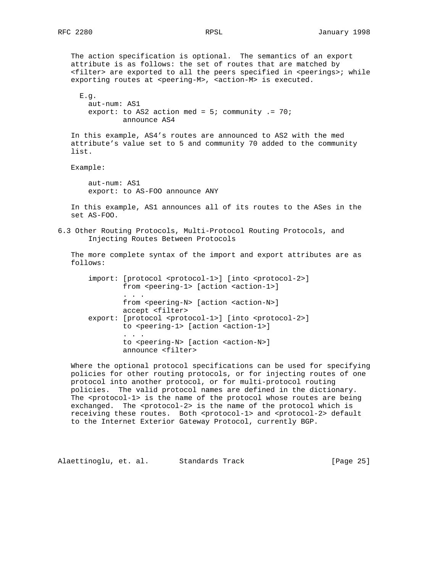The action specification is optional. The semantics of an export attribute is as follows: the set of routes that are matched by <filter> are exported to all the peers specified in <peerings>; while exporting routes at <peering-M>, <action-M> is executed. E.g. aut-num: AS1 export: to AS2 action med =  $5$ ; community .=  $70$ ; announce AS4 In this example, AS4's routes are announced to AS2 with the med attribute's value set to 5 and community 70 added to the community list. Example: aut-num: AS1 export: to AS-FOO announce ANY In this example, AS1 announces all of its routes to the ASes in the set AS-FOO. 6.3 Other Routing Protocols, Multi-Protocol Routing Protocols, and Injecting Routes Between Protocols The more complete syntax of the import and export attributes are as follows: import: [protocol <protocol-1>] [into <protocol-2>] from <peering-1> [action <action-1>] . . . from <peering-N> [action <action-N>] accept <filter> export: [protocol <protocol-1>] [into <protocol-2>] to <peering-1> [action <action-1>] . . . to <peering-N> [action <action-N>]

 Where the optional protocol specifications can be used for specifying policies for other routing protocols, or for injecting routes of one protocol into another protocol, or for multi-protocol routing policies. The valid protocol names are defined in the dictionary. The <protocol-1> is the name of the protocol whose routes are being exchanged. The <protocol-2> is the name of the protocol which is receiving these routes. Both <protocol-1> and <protocol-2> default to the Internet Exterior Gateway Protocol, currently BGP.

announce <filter>

Alaettinoglu, et. al. Standards Track [Page 25]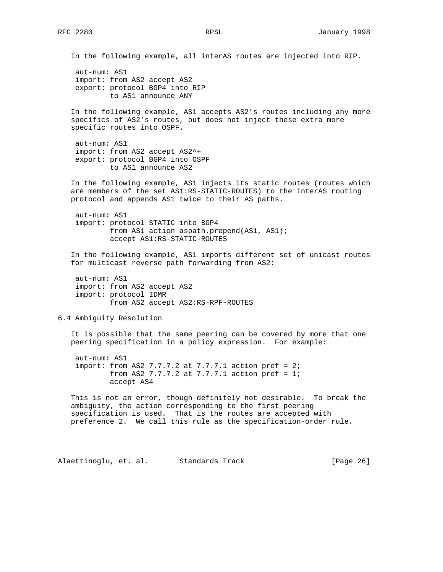In the following example, all interAS routes are injected into RIP. aut-num: AS1 import: from AS2 accept AS2 export: protocol BGP4 into RIP to AS1 announce ANY In the following example, AS1 accepts AS2's routes including any more specifics of AS2's routes, but does not inject these extra more specific routes into OSPF. aut-num: AS1 import: from AS2 accept AS2^+ export: protocol BGP4 into OSPF to AS1 announce AS2 In the following example, AS1 injects its static routes (routes which are members of the set AS1:RS-STATIC-ROUTES) to the interAS routing protocol and appends AS1 twice to their AS paths. aut-num: AS1 import: protocol STATIC into BGP4 from AS1 action aspath.prepend(AS1, AS1); accept AS1:RS-STATIC-ROUTES In the following example, AS1 imports different set of unicast routes for multicast reverse path forwarding from AS2: aut-num: AS1 import: from AS2 accept AS2 import: protocol IDMR from AS2 accept AS2:RS-RPF-ROUTES 6.4 Ambiguity Resolution It is possible that the same peering can be covered by more that one peering specification in a policy expression. For example: aut-num: AS1 import: from AS2 7.7.7.2 at 7.7.7.1 action pref =  $2i$ from AS2 7.7.7.2 at 7.7.7.1 action  $pref = 1;$  accept AS4 This is not an error, though definitely not desirable. To break the ambiguity, the action corresponding to the first peering specification is used. That is the routes are accepted with preference 2. We call this rule as the specification-order rule.

Alaettinoglu, et. al. Standards Track [Page 26]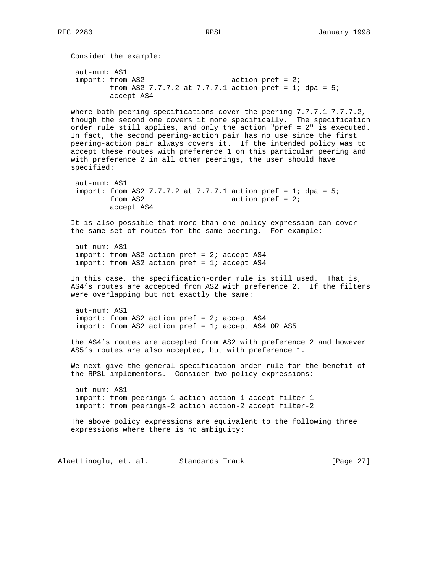Consider the example: aut-num: AS1 import: from AS2 action pref = 2; from AS2 7.7.7.2 at 7.7.7.1 action pref = 1; dpa =  $5$ ; accept AS4 where both peering specifications cover the peering 7.7.7.1-7.7.7.2, though the second one covers it more specifically. The specification order rule still applies, and only the action "pref = 2" is executed. In fact, the second peering-action pair has no use since the first peering-action pair always covers it. If the intended policy was to accept these routes with preference 1 on this particular peering and with preference 2 in all other peerings, the user should have specified: aut-num: AS1 import: from AS2 7.7.7.2 at 7.7.7.1 action pref = 1; dpa = 5; from AS2 action pref = 2; accept AS4 It is also possible that more than one policy expression can cover the same set of routes for the same peering. For example: aut-num: AS1 import: from AS2 action pref = 2; accept AS4 import: from AS2 action pref = 1; accept AS4 In this case, the specification-order rule is still used. That is, AS4's routes are accepted from AS2 with preference 2. If the filters were overlapping but not exactly the same: aut-num: AS1 import: from AS2 action pref = 2; accept AS4  $import: from AS2 action pref = 1; accept AS4 OR AS5$  the AS4's routes are accepted from AS2 with preference 2 and however AS5's routes are also accepted, but with preference 1. We next give the general specification order rule for the benefit of the RPSL implementors. Consider two policy expressions: aut-num: AS1 import: from peerings-1 action action-1 accept filter-1 import: from peerings-2 action action-2 accept filter-2 The above policy expressions are equivalent to the following three expressions where there is no ambiguity: Alaettinoglu, et. al. Standards Track [Page 27]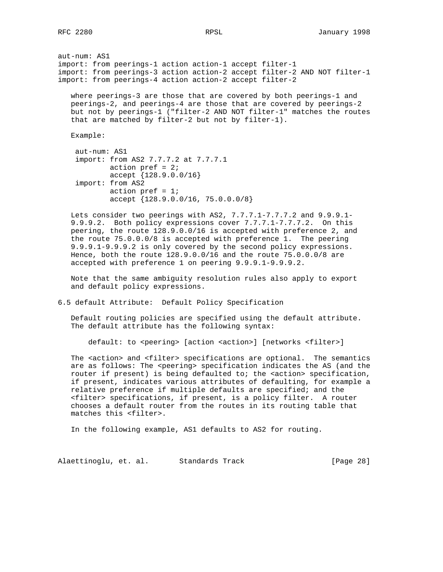aut-num: AS1 import: from peerings-1 action action-1 accept filter-1 import: from peerings-3 action action-2 accept filter-2 AND NOT filter-1 import: from peerings-4 action action-2 accept filter-2

 where peerings-3 are those that are covered by both peerings-1 and peerings-2, and peerings-4 are those that are covered by peerings-2 but not by peerings-1 ("filter-2 AND NOT filter-1" matches the routes that are matched by filter-2 but not by filter-1).

Example:

```
 aut-num: AS1
 import: from AS2 7.7.7.2 at 7.7.7.1
        action pref = 2; accept {128.9.0.0/16}
 import: from AS2
       action pref = 1; accept {128.9.0.0/16, 75.0.0.0/8}
```
 Lets consider two peerings with AS2, 7.7.7.1-7.7.7.2 and 9.9.9.1- 9.9.9.2. Both policy expressions cover 7.7.7.1-7.7.7.2. On this peering, the route 128.9.0.0/16 is accepted with preference 2, and the route 75.0.0.0/8 is accepted with preference 1. The peering 9.9.9.1-9.9.9.2 is only covered by the second policy expressions. Hence, both the route 128.9.0.0/16 and the route 75.0.0.0/8 are accepted with preference 1 on peering 9.9.9.1-9.9.9.2.

 Note that the same ambiguity resolution rules also apply to export and default policy expressions.

6.5 default Attribute: Default Policy Specification

 Default routing policies are specified using the default attribute. The default attribute has the following syntax:

default: to <peering> [action <action>] [networks <filter>]

 The <action> and <filter> specifications are optional. The semantics are as follows: The <peering> specification indicates the AS (and the router if present) is being defaulted to; the <action> specification, if present, indicates various attributes of defaulting, for example a relative preference if multiple defaults are specified; and the <filter> specifications, if present, is a policy filter. A router chooses a default router from the routes in its routing table that matches this <filter>.

In the following example, AS1 defaults to AS2 for routing.

Alaettinoglu, et. al. Standards Track [Page 28]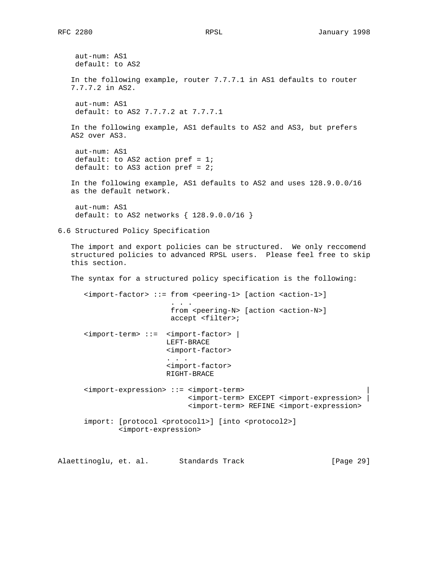aut-num: AS1 default: to AS2 In the following example, router 7.7.7.1 in AS1 defaults to router 7.7.7.2 in AS2. aut-num: AS1 default: to AS2 7.7.7.2 at 7.7.7.1 In the following example, AS1 defaults to AS2 and AS3, but prefers AS2 over AS3. aut-num: AS1 default: to AS2 action pref =  $1$ ; default: to AS3 action pref =  $2i$  In the following example, AS1 defaults to AS2 and uses 128.9.0.0/16 as the default network. aut-num: AS1 default: to AS2 networks { 128.9.0.0/16 } 6.6 Structured Policy Specification The import and export policies can be structured. We only reccomend structured policies to advanced RPSL users. Please feel free to skip this section. The syntax for a structured policy specification is the following: <import-factor> ::= from <peering-1> [action <action-1>] . . . from <peering-N> [action <action-N>] accept <filter>; <import-term> ::= <import-factor> | LEFT-BRACE <import-factor> . . . <import-factor> RIGHT-BRACE <import-expression> ::= <import-term> | <import-term> EXCEPT <import-expression> | <import-term> REFINE <import-expression> import: [protocol <protocol1>] [into <protocol2>] <import-expression>

Alaettinoglu, et. al. Standards Track [Page 29]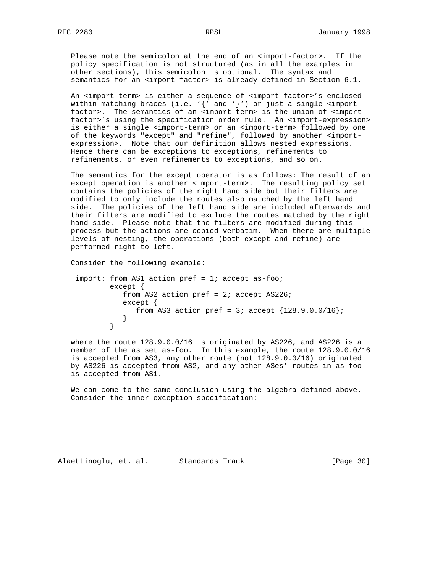Please note the semicolon at the end of an <import-factor>. If the policy specification is not structured (as in all the examples in other sections), this semicolon is optional. The syntax and semantics for an <import-factor> is already defined in Section 6.1.

 An <import-term> is either a sequence of <import-factor>'s enclosed within matching braces (i.e.  $\{ \}'$  and  $\}'$ ) or just a single <import factor>. The semantics of an <import-term> is the union of <import factor>'s using the specification order rule. An <import-expression> is either a single <import-term> or an <import-term> followed by one of the keywords "except" and "refine", followed by another <import expression>. Note that our definition allows nested expressions. Hence there can be exceptions to exceptions, refinements to refinements, or even refinements to exceptions, and so on.

 The semantics for the except operator is as follows: The result of an except operation is another <import-term>. The resulting policy set contains the policies of the right hand side but their filters are modified to only include the routes also matched by the left hand side. The policies of the left hand side are included afterwards and their filters are modified to exclude the routes matched by the right hand side. Please note that the filters are modified during this process but the actions are copied verbatim. When there are multiple levels of nesting, the operations (both except and refine) are performed right to left.

Consider the following example:

```
 import: from AS1 action pref = 1; accept as-foo;
           except {
             from AS2 action pref = 2i; accept AS226;
              except {
                from AS3 action pref = 3; accept {128.9.0.0/16};
 }
 }
```
 where the route 128.9.0.0/16 is originated by AS226, and AS226 is a member of the as set as-foo. In this example, the route 128.9.0.0/16 is accepted from AS3, any other route (not 128.9.0.0/16) originated by AS226 is accepted from AS2, and any other ASes' routes in as-foo is accepted from AS1.

 We can come to the same conclusion using the algebra defined above. Consider the inner exception specification:

Alaettinoglu, et. al. Standards Track [Page 30]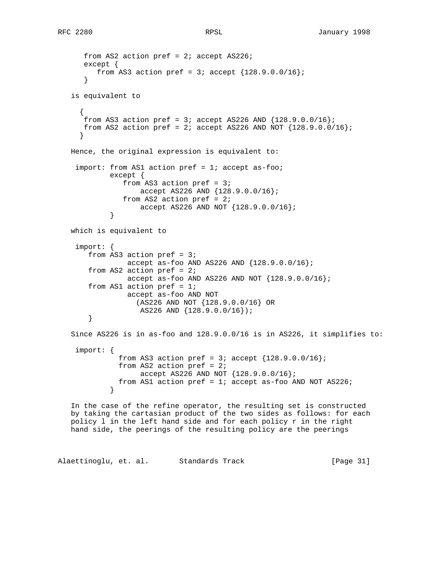```
from AS2 action pref = 2i; accept AS226;
      except {
        from AS3 action pref = 3; accept {128.9.0.0/16};
       }
   is equivalent to
     {
     from AS3 action pref = 3; accept AS226 AND {128.9.0.0/16};
     from AS2 action pref = 2; accept AS226 AND NOT \{128.9.0.0/16\};
     }
   Hence, the original expression is equivalent to:
    import: from AS1 action pref = 1; accept as-foo;
            except {
               from AS3 action pref = 3;
                   accept AS226 AND {128.9.0.0/16};
               from AS2 action pref = 2;
            accept AS226 AND NOT {128.9.0.0/16}; }
   which is equivalent to
    import: {
      from AS3 action pref = 3;
                accept as-foo AND AS226 AND {128.9.0.0/16};
      from AS2 action pref = 2;
               accept as-foo AND AS226 AND NOT {128.9.0.0/16};
      from AS1 action pref = 1;
                accept as-foo AND NOT
                   (AS226 AND NOT {128.9.0.0/16} OR
                   AS226 AND {128.9.0.0/16});
       }
   Since AS226 is in as-foo and 128.9.0.0/16 is in AS226, it simplifies to:
    import: {
              from AS3 action pref = 3; accept {128.9.0.0/16};
             from AS2 action pref = 2;
                  accept AS226 AND NOT {128.9.0.0/16};
             from AS1 action pref = 1; accept as-foo AND NOT AS226;
 }
   In the case of the refine operator, the resulting set is constructed
```
 by taking the cartasian product of the two sides as follows: for each policy l in the left hand side and for each policy r in the right hand side, the peerings of the resulting policy are the peerings

Alaettinoglu, et. al. Standards Track [Page 31]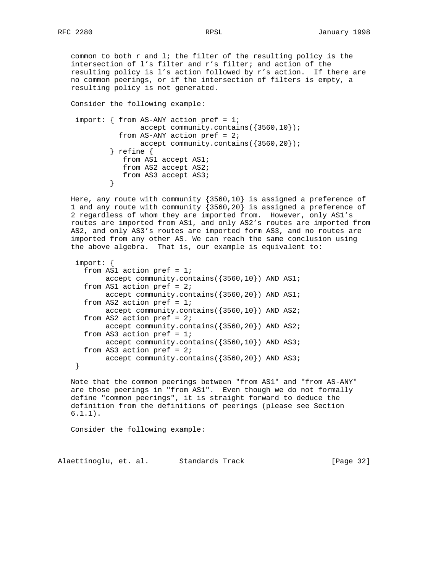common to both r and l; the filter of the resulting policy is the intersection of l's filter and r's filter; and action of the resulting policy is l's action followed by r's action. If there are no common peerings, or if the intersection of filters is empty, a resulting policy is not generated.

Consider the following example:

```
 import: { from AS-ANY action pref = 1;
                  accept community.contains({3560,10});
             from AS-ANY action pref = 2;
                  accept community.contains({3560,20});
            } refine {
               from AS1 accept AS1;
               from AS2 accept AS2;
               from AS3 accept AS3;
 }
```
Here, any route with community  $\{3560, 10\}$  is assigned a preference of 1 and any route with community {3560,20} is assigned a preference of 2 regardless of whom they are imported from. However, only AS1's routes are imported from AS1, and only AS2's routes are imported from AS2, and only AS3's routes are imported form AS3, and no routes are imported from any other AS. We can reach the same conclusion using the above algebra. That is, our example is equivalent to:

```
 import: {
  from AS1 action pref = 1;
        accept community.contains({3560,10}) AND AS1;
  from AS1 action pref = 2;
        accept community.contains({3560,20}) AND AS1;
  from AS2 action pref = 1;
        accept community.contains({3560,10}) AND AS2;
 from AS2 action pref = 2;
        accept community.contains({3560,20}) AND AS2;
  from AS3 action pref = 1;
        accept community.contains({3560,10}) AND AS3;
 from AS3 action pref = 2i accept community.contains({3560,20}) AND AS3;
 }
```
 Note that the common peerings between "from AS1" and "from AS-ANY" are those peerings in "from AS1". Even though we do not formally define "common peerings", it is straight forward to deduce the definition from the definitions of peerings (please see Section 6.1.1).

Consider the following example:

Alaettinoglu, et. al. Standards Track [Page 32]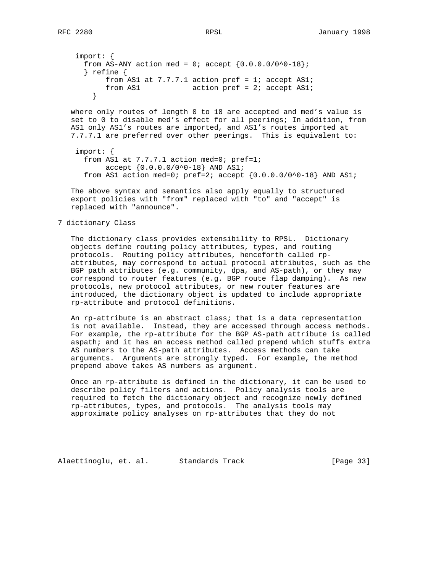```
 import: {
 from AS-ANY action med = 0; accept {0.0.0.0/0^0}-18};
  } refine {
      from AS1 at 7.7.7.1 action pref = 1; accept AS1;
      from AS1 action pref = 2; accept AS1;
    }
```
 where only routes of length 0 to 18 are accepted and med's value is set to 0 to disable med's effect for all peerings; In addition, from AS1 only AS1's routes are imported, and AS1's routes imported at 7.7.7.1 are preferred over other peerings. This is equivalent to:

```
 import: {
  from AS1 at 7.7.7.1 action med=0; pref=1;
        accept {0.0.0.0/0^0-18} AND AS1;
  from AS1 action med=0; pref=2; accept \{0.0.0.0/0^0-18} AND AS1;
```
 The above syntax and semantics also apply equally to structured export policies with "from" replaced with "to" and "accept" is replaced with "announce".

### 7 dictionary Class

 The dictionary class provides extensibility to RPSL. Dictionary objects define routing policy attributes, types, and routing protocols. Routing policy attributes, henceforth called rp attributes, may correspond to actual protocol attributes, such as the BGP path attributes (e.g. community, dpa, and AS-path), or they may correspond to router features (e.g. BGP route flap damping). As new protocols, new protocol attributes, or new router features are introduced, the dictionary object is updated to include appropriate rp-attribute and protocol definitions.

 An rp-attribute is an abstract class; that is a data representation is not available. Instead, they are accessed through access methods. For example, the rp-attribute for the BGP AS-path attribute is called aspath; and it has an access method called prepend which stuffs extra AS numbers to the AS-path attributes. Access methods can take arguments. Arguments are strongly typed. For example, the method prepend above takes AS numbers as argument.

 Once an rp-attribute is defined in the dictionary, it can be used to describe policy filters and actions. Policy analysis tools are required to fetch the dictionary object and recognize newly defined rp-attributes, types, and protocols. The analysis tools may approximate policy analyses on rp-attributes that they do not

Alaettinoglu, et. al. Standards Track [Page 33]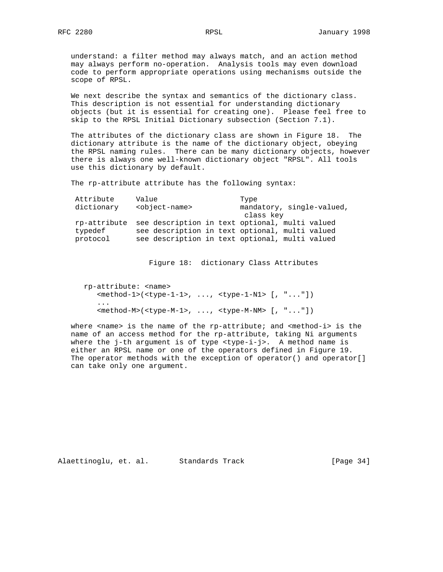understand: a filter method may always match, and an action method may always perform no-operation. Analysis tools may even download code to perform appropriate operations using mechanisms outside the scope of RPSL.

 We next describe the syntax and semantics of the dictionary class. This description is not essential for understanding dictionary objects (but it is essential for creating one). Please feel free to skip to the RPSL Initial Dictionary subsection (Section 7.1).

 The attributes of the dictionary class are shown in Figure 18. The dictionary attribute is the name of the dictionary object, obeying the RPSL naming rules. There can be many dictionary objects, however there is always one well-known dictionary object "RPSL". All tools use this dictionary by default.

The rp-attribute attribute has the following syntax:

| Attribute<br>dictionary | Value<br><object-name></object-name>                                                                                                                            | Type<br>mandatory, single-valued,<br>class key |  |
|-------------------------|-----------------------------------------------------------------------------------------------------------------------------------------------------------------|------------------------------------------------|--|
| typedef<br>protocol     | rp-attribute see description in text optional, multi valued<br>see description in text optional, multi valued<br>see description in text optional, multi valued |                                                |  |

Figure 18: dictionary Class Attributes

 rp-attribute: <name> <method-1>(<type-1-1>, ..., <type-1-N1> [, "..."]) ... <method-M>(<type-M-1>, ..., <type-M-NM> [, "..."])

 where <name> is the name of the rp-attribute; and <method-i> is the name of an access method for the rp-attribute, taking Ni arguments where the j-th argument is of type <type-i-j>. A method name is either an RPSL name or one of the operators defined in Figure 19. The operator methods with the exception of operator() and operator[] can take only one argument.

Alaettinoglu, et. al. Standards Track [Page 34]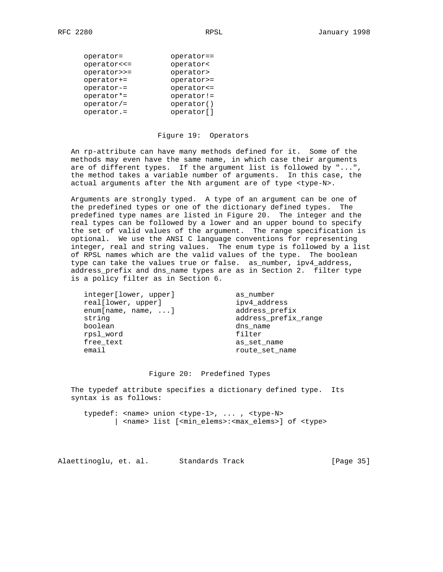| operator=    | operator==  |
|--------------|-------------|
| operator <<= | operator<   |
| operator>>=  | operator>   |
| operator+=   | operator>=  |
| operator-=   | operator <= |
| operator*=   | operator!=  |
| $operator/=$ | operator()  |
| operator.=   | operator[]  |
|              |             |

#### Figure 19: Operators

 An rp-attribute can have many methods defined for it. Some of the methods may even have the same name, in which case their arguments are of different types. If the argument list is followed by "...", the method takes a variable number of arguments. In this case, the actual arguments after the Nth argument are of type <type-N>.

 Arguments are strongly typed. A type of an argument can be one of the predefined types or one of the dictionary defined types. The predefined type names are listed in Figure 20. The integer and the real types can be followed by a lower and an upper bound to specify the set of valid values of the argument. The range specification is optional. We use the ANSI C language conventions for representing integer, real and string values. The enum type is followed by a list of RPSL names which are the valid values of the type. The boolean type can take the values true or false. as\_number, ipv4\_address, address\_prefix and dns\_name types are as in Section 2. filter type is a policy filter as in Section 6.

 integer[lower, upper] as\_number real[lower, upper] ipv4\_address enum[name, name, ...] address\_prefix string address\_prefix\_range boolean dns\_name rpsl\_word filter free\_text as\_set\_name email route\_set\_name

#### Figure 20: Predefined Types

 The typedef attribute specifies a dictionary defined type. Its syntax is as follows:

 typedef: <name> union <type-1>, ... , <type-N> | <name> list [<min\_elems>:<max\_elems>] of <type>

Alaettinoglu, et. al. Standards Track [Page 35]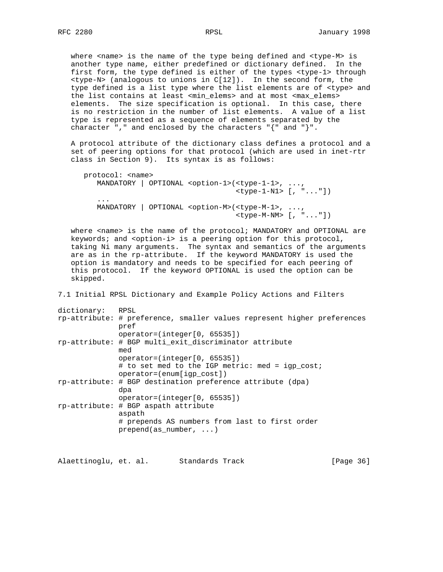where <name> is the name of the type being defined and <type-M> is another type name, either predefined or dictionary defined. In the first form, the type defined is either of the types <type-1> through <type-N> (analogous to unions in C[12]). In the second form, the type defined is a list type where the list elements are of <type> and the list contains at least <min\_elems> and at most <max\_elems> elements. The size specification is optional. In this case, there is no restriction in the number of list elements. A value of a list type is represented as a sequence of elements separated by the character "," and enclosed by the characters " $\{$ " and " $\}$ ".

 A protocol attribute of the dictionary class defines a protocol and a set of peering options for that protocol (which are used in inet-rtr class in Section 9). Its syntax is as follows:

```
 protocol: <name>
         MANDATORY | OPTIONAL <option-1>(<type-1-1>, ...,
                                         <type-1-N1> [, "..."])
 ...
         MANDATORY | OPTIONAL <option-M>(<type-M-1>, ...,
                                         <type-M-NM> [, "..."])
```
where <name> is the name of the protocol; MANDATORY and OPTIONAL are keywords; and <option-i> is a peering option for this protocol, taking Ni many arguments. The syntax and semantics of the arguments are as in the rp-attribute. If the keyword MANDATORY is used the option is mandatory and needs to be specified for each peering of this protocol. If the keyword OPTIONAL is used the option can be skipped.

7.1 Initial RPSL Dictionary and Example Policy Actions and Filters

| RPSL                                                                            |
|---------------------------------------------------------------------------------|
| rp-attribute: # preference, smaller values represent higher preferences<br>pref |
| $operator=[inter[0, 65535])$                                                    |
| rp-attribute: # BGP multi_exit_discriminator attribute<br>med                   |
| $operator=[inter[0, 65535])$                                                    |
| # to set med to the IGP metric: med = igp_cost;                                 |
| $operator=(enum[iqp cost])$                                                     |
| rp-attribute: # BGP destination preference attribute (dpa)<br>dpa               |
| $operator=[inter[0, 65535])$                                                    |
| rp-attribute: # BGP aspath attribute<br>aspath                                  |
| # prepends AS numbers from last to first order<br>$prepend(as_number, )$        |
|                                                                                 |

Alaettinoglu, et. al. Standards Track [Page 36]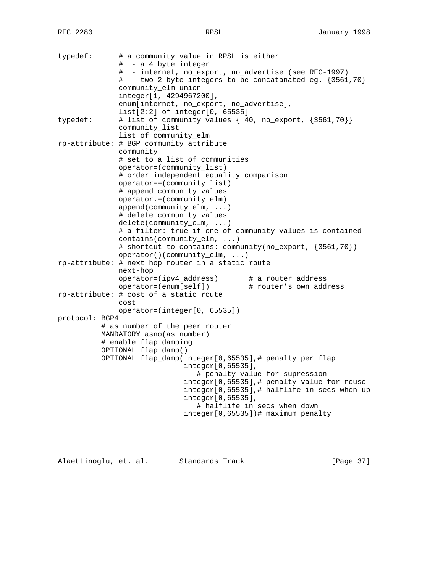| typedef:       |  | # a community value in RPSL is either<br>#  – a 4 byte integer |                                                            |  |  |
|----------------|--|----------------------------------------------------------------|------------------------------------------------------------|--|--|
|                |  | - internet, no_export, no_advertise (see RFC-1997)<br>$\#$     |                                                            |  |  |
|                |  | #.                                                             | - two 2-byte integers to be concatanated eg. $\{3561,70\}$ |  |  |
|                |  | community_elm union                                            |                                                            |  |  |
|                |  | integer[1, 4294967200],                                        |                                                            |  |  |
|                |  | enum[internet, no_export, no_advertise],                       |                                                            |  |  |
|                |  | list[2:2] of integer[0, 65535]                                 |                                                            |  |  |
| typedef:       |  | # list of community values { 40, no_export, {3561,70}}         |                                                            |  |  |
|                |  | community_list                                                 |                                                            |  |  |
|                |  | list of community elm                                          |                                                            |  |  |
|                |  | rp-attribute: # BGP community attribute                        |                                                            |  |  |
|                |  | community                                                      |                                                            |  |  |
|                |  | # set to a list of communities                                 |                                                            |  |  |
|                |  | operator=(community_list)                                      |                                                            |  |  |
|                |  | # order independent equality comparison                        |                                                            |  |  |
|                |  | operator==(community_list)                                     |                                                            |  |  |
|                |  | # append community values                                      |                                                            |  |  |
|                |  | operator.=(community_elm)                                      |                                                            |  |  |
|                |  | $append(community\_elm, )$<br># delete community values        |                                                            |  |  |
|                |  |                                                                |                                                            |  |  |
|                |  | $delete(community\_elm, )$                                     |                                                            |  |  |
|                |  | # a filter: true if one of community values is contained       |                                                            |  |  |
|                |  | $contains(community\_elm, )$                                   |                                                            |  |  |
|                |  | # shortcut to contains: community(no_export, {3561,70})        |                                                            |  |  |
|                |  | $operator()$ (community_elm, )                                 |                                                            |  |  |
|                |  | rp-attribute: # next hop router in a static route              |                                                            |  |  |
|                |  | next-hop                                                       |                                                            |  |  |
|                |  | operator=(ipv4_address)                                        | # a router address                                         |  |  |
|                |  | operator=(enum[self])                                          | # router's own address                                     |  |  |
|                |  | rp-attribute: # cost of a static route                         |                                                            |  |  |
|                |  | cost                                                           |                                                            |  |  |
|                |  | operator=(integer[0, 65535])                                   |                                                            |  |  |
| protocol: BGP4 |  |                                                                |                                                            |  |  |
|                |  | # as number of the peer router                                 |                                                            |  |  |
|                |  | MANDATORY asno (as number)                                     |                                                            |  |  |
|                |  | # enable flap damping                                          |                                                            |  |  |
|                |  | OPTIONAL flap_damp()                                           |                                                            |  |  |
|                |  | OPTIONAL flap_damp(integer[0,65535],# penalty per flap         |                                                            |  |  |
|                |  | integer[0,65535],                                              |                                                            |  |  |
|                |  |                                                                | # penalty value for supression                             |  |  |
|                |  |                                                                | integer[0,65535],# penalty value for reuse                 |  |  |
|                |  |                                                                | integer[0,65535],# halflife in secs when up                |  |  |
|                |  | integer[0,65535],                                              |                                                            |  |  |
|                |  |                                                                | # halflife in secs when down                               |  |  |
|                |  |                                                                | integer[0,65535])# maximum penalty                         |  |  |
|                |  |                                                                |                                                            |  |  |

Alaettinoglu, et. al. Standards Track [Page 37]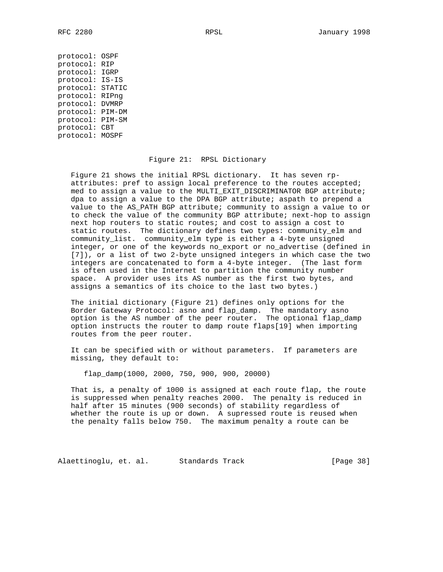protocol: OSPF protocol: RIP protocol: IGRP protocol: IS-IS protocol: STATIC protocol: RIPng protocol: DVMRP protocol: PIM-DM protocol: PIM-SM protocol: CBT protocol: MOSPF

#### Figure 21: RPSL Dictionary

 Figure 21 shows the initial RPSL dictionary. It has seven rp attributes: pref to assign local preference to the routes accepted; med to assign a value to the MULTI\_EXIT\_DISCRIMINATOR BGP attribute; dpa to assign a value to the DPA BGP attribute; aspath to prepend a value to the AS\_PATH BGP attribute; community to assign a value to or to check the value of the community BGP attribute; next-hop to assign next hop routers to static routes; and cost to assign a cost to static routes. The dictionary defines two types: community\_elm and community\_list. community\_elm type is either a 4-byte unsigned integer, or one of the keywords no\_export or no\_advertise (defined in [7]), or a list of two 2-byte unsigned integers in which case the two integers are concatenated to form a 4-byte integer. (The last form is often used in the Internet to partition the community number space. A provider uses its AS number as the first two bytes, and assigns a semantics of its choice to the last two bytes.)

 The initial dictionary (Figure 21) defines only options for the Border Gateway Protocol: asno and flap\_damp. The mandatory asno option is the AS number of the peer router. The optional flap\_damp option instructs the router to damp route flaps[19] when importing routes from the peer router.

 It can be specified with or without parameters. If parameters are missing, they default to:

flap\_damp(1000, 2000, 750, 900, 900, 20000)

 That is, a penalty of 1000 is assigned at each route flap, the route is suppressed when penalty reaches 2000. The penalty is reduced in half after 15 minutes (900 seconds) of stability regardless of whether the route is up or down. A supressed route is reused when the penalty falls below 750. The maximum penalty a route can be

Alaettinoglu, et. al. Standards Track [Page 38]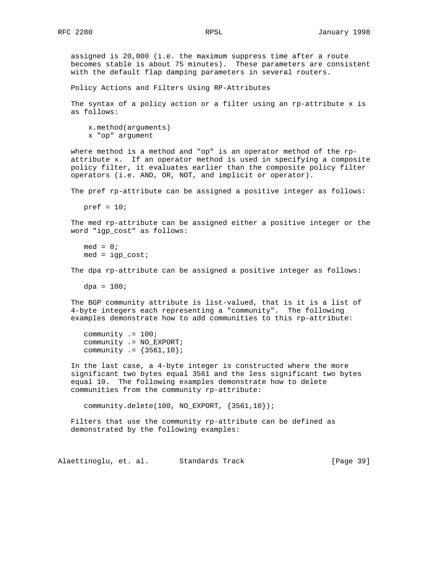assigned is 20,000 (i.e. the maximum suppress time after a route becomes stable is about 75 minutes). These parameters are consistent with the default flap damping parameters in several routers.

Policy Actions and Filters Using RP-Attributes

 The syntax of a policy action or a filter using an rp-attribute x is as follows:

 x.method(arguments) x "op" argument

 where method is a method and "op" is an operator method of the rp attribute x. If an operator method is used in specifying a composite policy filter, it evaluates earlier than the composite policy filter operators (i.e. AND, OR, NOT, and implicit or operator).

The pref rp-attribute can be assigned a positive integer as follows:

pref =  $10i$ 

 The med rp-attribute can be assigned either a positive integer or the word "igp\_cost" as follows:

 $med = 0;$  $med = igp\_cost;$ 

The dpa rp-attribute can be assigned a positive integer as follows:

 $dpa = 100$ ;

 The BGP community attribute is list-valued, that is it is a list of 4-byte integers each representing a "community". The following examples demonstrate how to add communities to this rp-attribute:

```
 community .= 100;
 community .= NO_EXPORT;
community := {3561, 10};
```
 In the last case, a 4-byte integer is constructed where the more significant two bytes equal 3561 and the less significant two bytes equal 10. The following examples demonstrate how to delete communities from the community rp-attribute:

community.delete(100, NO\_EXPORT, {3561,10});

 Filters that use the community rp-attribute can be defined as demonstrated by the following examples:

Alaettinoglu, et. al. Standards Track [Page 39]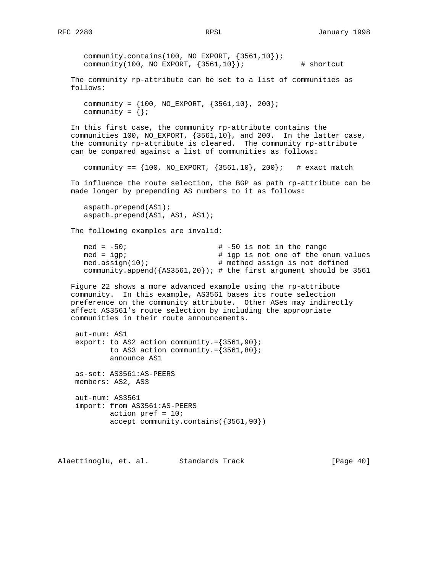```
 community.contains(100, NO_EXPORT, {3561,10});
   community(100, NO_EXPORT, \{3561, 10\}); # shortcut
 The community rp-attribute can be set to a list of communities as
 follows:
   community = {100, NO\_EXPORT, {3561, 10}, 200};community = \{\};
 In this first case, the community rp-attribute contains the
 communities 100, NO_EXPORT, {3561,10}, and 200. In the latter case,
 the community rp-attribute is cleared. The community rp-attribute
 can be compared against a list of communities as follows:
   community == {100, NO\_EXPORT, {3561,10}, 200}; # exact match
 To influence the route selection, the BGP as_path rp-attribute can be
 made longer by prepending AS numbers to it as follows:
    aspath.prepend(AS1);
    aspath.prepend(AS1, AS1, AS1);
 The following examples are invalid:
   med = -50; \qquad \qquad \qquad \qquad \qquad \qquad \qquad \qquad \qquad \qquad \qquad \qquad \qquad \qquad \qquad \qquad \qquad \qquad \qquad \qquad \qquad \qquad \qquad \qquad \qquad \qquad \qquad \qquad \qquad \qquad \qquad \qquad \qquad \qquad \qquadmed = igp;<br>med.assign(10); <br># method assign is not defined<br>med.assign(10);<br># method assign is not defined
                                        # method assign is not defined
    community.append({AS3561,20}); # the first argument should be 3561
 Figure 22 shows a more advanced example using the rp-attribute
 community. In this example, AS3561 bases its route selection
 preference on the community attribute. Other ASes may indirectly
 affect AS3561's route selection by including the appropriate
 communities in their route announcements.
  aut-num: AS1
 export: to AS2 action community. = {3561,90};
          to AS3 action community.={3561,80};
           announce AS1
  as-set: AS3561:AS-PEERS
  members: AS2, AS3
  aut-num: AS3561
  import: from AS3561:AS-PEERS
           action pref = 10;
           accept community.contains({3561,90})
```
Alaettinoglu, et. al. Standards Track [Page 40]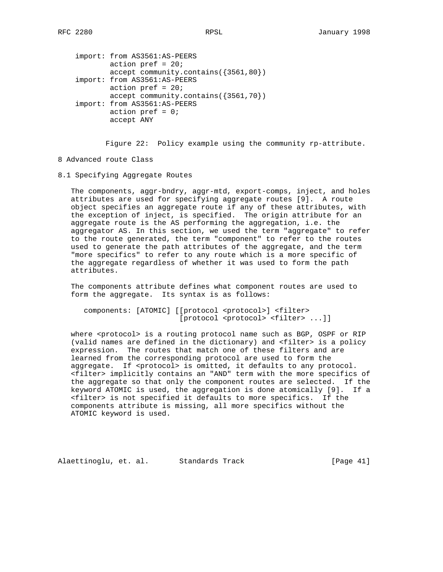```
 import: from AS3561:AS-PEERS
        action pref = 20; accept community.contains({3561,80})
 import: from AS3561:AS-PEERS
       action pref = 20; accept community.contains({3561,70})
 import: from AS3561:AS-PEERS
       action pref = 0; accept ANY
```
Figure 22: Policy example using the community rp-attribute.

- 8 Advanced route Class
- 8.1 Specifying Aggregate Routes

 The components, aggr-bndry, aggr-mtd, export-comps, inject, and holes attributes are used for specifying aggregate routes [9]. A route object specifies an aggregate route if any of these attributes, with the exception of inject, is specified. The origin attribute for an aggregate route is the AS performing the aggregation, i.e. the aggregator AS. In this section, we used the term "aggregate" to refer to the route generated, the term "component" to refer to the routes used to generate the path attributes of the aggregate, and the term "more specifics" to refer to any route which is a more specific of the aggregate regardless of whether it was used to form the path attributes.

 The components attribute defines what component routes are used to form the aggregate. Its syntax is as follows:

 components: [ATOMIC] [[protocol <protocol>] <filter> [protocol <protocol> <filter> ...]]

where <protocol> is a routing protocol name such as BGP, OSPF or RIP (valid names are defined in the dictionary) and <filter> is a policy expression. The routes that match one of these filters and are learned from the corresponding protocol are used to form the aggregate. If <protocol> is omitted, it defaults to any protocol. <filter> implicitly contains an "AND" term with the more specifics of the aggregate so that only the component routes are selected. If the keyword ATOMIC is used, the aggregation is done atomically [9]. If a <filter> is not specified it defaults to more specifics. If the components attribute is missing, all more specifics without the ATOMIC keyword is used.

Alaettinoglu, et. al. Standards Track [Page 41]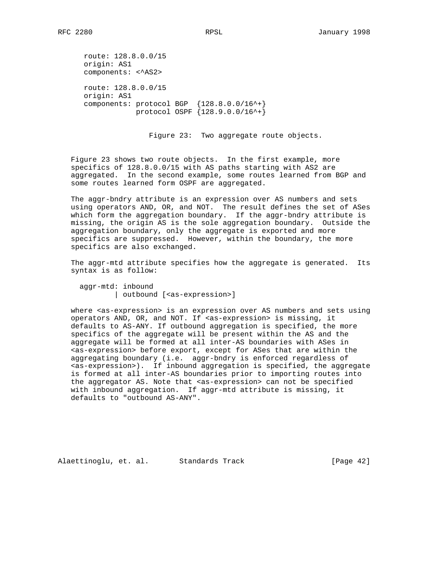route: 128.8.0.0/15 origin: AS1 components: <^AS2> route: 128.8.0.0/15 origin: AS1 components: protocol BGP {128.8.0.0/16^+} protocol OSPF {128.9.0.0/16^+}

Figure 23: Two aggregate route objects.

 Figure 23 shows two route objects. In the first example, more specifics of 128.8.0.0/15 with AS paths starting with AS2 are aggregated. In the second example, some routes learned from BGP and some routes learned form OSPF are aggregated.

 The aggr-bndry attribute is an expression over AS numbers and sets using operators AND, OR, and NOT. The result defines the set of ASes which form the aggregation boundary. If the aggr-bndry attribute is missing, the origin AS is the sole aggregation boundary. Outside the aggregation boundary, only the aggregate is exported and more specifics are suppressed. However, within the boundary, the more specifics are also exchanged.

 The aggr-mtd attribute specifies how the aggregate is generated. Its syntax is as follow:

 aggr-mtd: inbound | outbound [<as-expression>]

where <as-expression> is an expression over AS numbers and sets using operators AND, OR, and NOT. If <as-expression> is missing, it defaults to AS-ANY. If outbound aggregation is specified, the more specifics of the aggregate will be present within the AS and the aggregate will be formed at all inter-AS boundaries with ASes in <as-expression> before export, except for ASes that are within the aggregating boundary (i.e. aggr-bndry is enforced regardless of <as-expression>). If inbound aggregation is specified, the aggregate is formed at all inter-AS boundaries prior to importing routes into the aggregator AS. Note that <as-expression> can not be specified with inbound aggregation. If aggr-mtd attribute is missing, it defaults to "outbound AS-ANY".

Alaettinoglu, et. al. Standards Track [Page 42]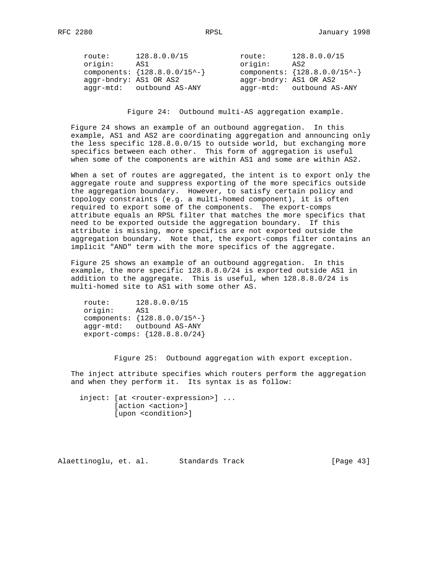| route:                 | 128.8.0.0/15                        | route:                 | 128.8.0.0/15                      |
|------------------------|-------------------------------------|------------------------|-----------------------------------|
| origin:                | AS1                                 | origin:                | AS2                               |
|                        | components: ${128.8.0.0 / 15^{-2}}$ |                        | components: ${128.8.0.0/15^{-1}}$ |
| aggr-bndry: AS1 OR AS2 |                                     | aggr-bndry: AS1 OR AS2 |                                   |
|                        | aggr-mtd: outbound AS-ANY           |                        | aggr-mtd: outbound AS-ANY         |

Figure 24: Outbound multi-AS aggregation example.

 Figure 24 shows an example of an outbound aggregation. In this example, AS1 and AS2 are coordinating aggregation and announcing only the less specific 128.8.0.0/15 to outside world, but exchanging more specifics between each other. This form of aggregation is useful when some of the components are within AS1 and some are within AS2.

 When a set of routes are aggregated, the intent is to export only the aggregate route and suppress exporting of the more specifics outside the aggregation boundary. However, to satisfy certain policy and topology constraints (e.g. a multi-homed component), it is often required to export some of the components. The export-comps attribute equals an RPSL filter that matches the more specifics that need to be exported outside the aggregation boundary. If this attribute is missing, more specifics are not exported outside the aggregation boundary. Note that, the export-comps filter contains an implicit "AND" term with the more specifics of the aggregate.

 Figure 25 shows an example of an outbound aggregation. In this example, the more specific 128.8.8.0/24 is exported outside AS1 in addition to the aggregate. This is useful, when 128.8.8.0/24 is multi-homed site to AS1 with some other AS.

 route: 128.8.0.0/15 origin: AS1 components: {128.8.0.0/15^-} aggr-mtd: outbound AS-ANY export-comps: {128.8.8.0/24}

Figure 25: Outbound aggregation with export exception.

 The inject attribute specifies which routers perform the aggregation and when they perform it. Its syntax is as follow:

 inject: [at <router-expression>] ... [action <action>] [upon <condition>]

Alaettinoglu, et. al. Standards Track [Page 43]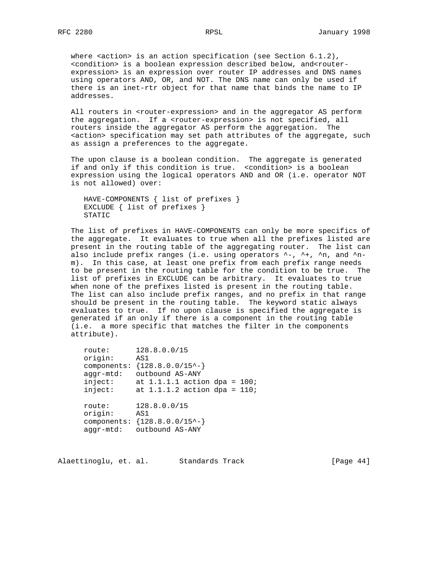where  $\alpha$ -action is an action specification (see Section  $6.1.2$ ), <condition> is a boolean expression described below, and<router expression> is an expression over router IP addresses and DNS names using operators AND, OR, and NOT. The DNS name can only be used if there is an inet-rtr object for that name that binds the name to IP addresses.

All routers in <router-expression> and in the aggregator AS perform the aggregation. If a <router-expression> is not specified, all routers inside the aggregator AS perform the aggregation. The <action> specification may set path attributes of the aggregate, such as assign a preferences to the aggregate.

 The upon clause is a boolean condition. The aggregate is generated if and only if this condition is true. <condition> is a boolean expression using the logical operators AND and OR (i.e. operator NOT is not allowed) over:

```
 HAVE-COMPONENTS { list of prefixes }
 EXCLUDE { list of prefixes }
 STATIC
```
 The list of prefixes in HAVE-COMPONENTS can only be more specifics of the aggregate. It evaluates to true when all the prefixes listed are present in the routing table of the aggregating router. The list can also include prefix ranges (i.e. using operators ^-, ^+, ^n, and ^n m). In this case, at least one prefix from each prefix range needs to be present in the routing table for the condition to be true. The list of prefixes in EXCLUDE can be arbitrary. It evaluates to true when none of the prefixes listed is present in the routing table. The list can also include prefix ranges, and no prefix in that range should be present in the routing table. The keyword static always evaluates to true. If no upon clause is specified the aggregate is generated if an only if there is a component in the routing table (i.e. a more specific that matches the filter in the components attribute).

```
 route: 128.8.0.0/15
 origin: AS1
     components: {128.8.0.0/15^-}
 aggr-mtd: outbound AS-ANY
inject: at 1.1.1.1 action dpa = 100;
inject: at 1.1.1.2 action dpa = 110;
 route: 128.8.0.0/15
 origin: AS1
     components: {128.8.0.0/15^-}
     aggr-mtd: outbound AS-ANY
```
Alaettinoglu, et. al. Standards Track [Page 44]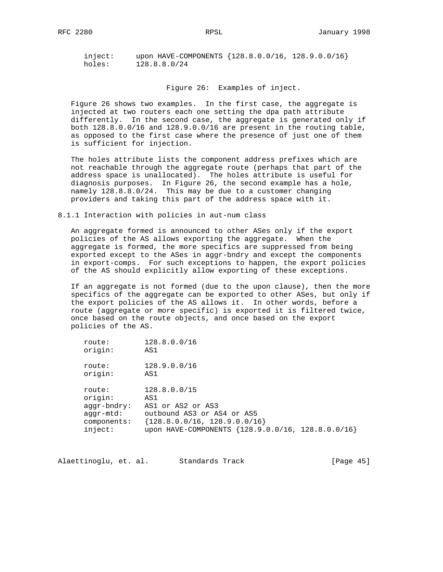inject: upon HAVE-COMPONENTS {128.8.0.0/16, 128.9.0.0/16} holes: 128.8.8.0/24

Figure 26: Examples of inject.

 Figure 26 shows two examples. In the first case, the aggregate is injected at two routers each one setting the dpa path attribute differently. In the second case, the aggregate is generated only if both 128.8.0.0/16 and 128.9.0.0/16 are present in the routing table, as opposed to the first case where the presence of just one of them is sufficient for injection.

 The holes attribute lists the component address prefixes which are not reachable through the aggregate route (perhaps that part of the address space is unallocated). The holes attribute is useful for diagnosis purposes. In Figure 26, the second example has a hole, namely 128.8.8.0/24. This may be due to a customer changing providers and taking this part of the address space with it.

8.1.1 Interaction with policies in aut-num class

 An aggregate formed is announced to other ASes only if the export policies of the AS allows exporting the aggregate. When the aggregate is formed, the more specifics are suppressed from being exported except to the ASes in aggr-bndry and except the components in export-comps. For such exceptions to happen, the export policies of the AS should explicitly allow exporting of these exceptions.

 If an aggregate is not formed (due to the upon clause), then the more specifics of the aggregate can be exported to other ASes, but only if the export policies of the AS allows it. In other words, before a route (aggregate or more specific) is exported it is filtered twice, once based on the route objects, and once based on the export policies of the AS.

| route:        | 128.8.0.0/16                                      |
|---------------|---------------------------------------------------|
| origin:       | AS1                                               |
| route:        | 128.9.0.0/16                                      |
| origin:       | AS1                                               |
| route:        | 128.8.0.0/15                                      |
| origin:       | AS1                                               |
| $aqqr-bndry:$ | AS1 or AS2 or AS3                                 |
| aqqr-mtd:     | outbound AS3 or AS4 or AS5                        |
| components:   | ${128.8.0.0/16, 128.9.0.0/16}$                    |
| inject:       | upon HAVE-COMPONENTS {128.9.0.0/16, 128.8.0.0/16} |

Alaettinoglu, et. al. Standards Track [Page 45]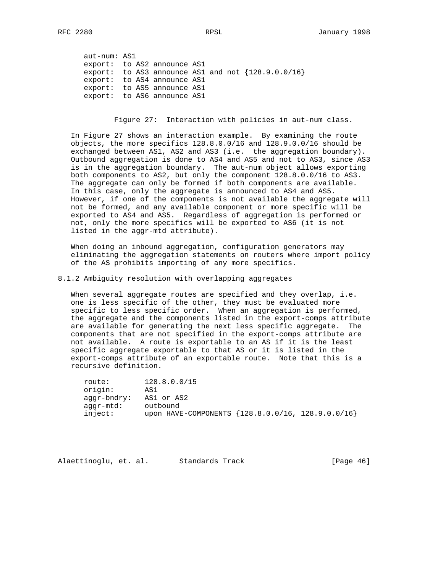aut-num: AS1 export: to AS2 announce AS1 export: to AS3 announce AS1 and not  $\{128.9.0.0/16\}$  export: to AS4 announce AS1 export: to AS5 announce AS1 export: to AS6 announce AS1

Figure 27: Interaction with policies in aut-num class.

 In Figure 27 shows an interaction example. By examining the route objects, the more specifics 128.8.0.0/16 and 128.9.0.0/16 should be exchanged between AS1, AS2 and AS3 (i.e. the aggregation boundary). Outbound aggregation is done to AS4 and AS5 and not to AS3, since AS3 is in the aggregation boundary. The aut-num object allows exporting both components to AS2, but only the component 128.8.0.0/16 to AS3. The aggregate can only be formed if both components are available. In this case, only the aggregate is announced to AS4 and AS5. However, if one of the components is not available the aggregate will not be formed, and any available component or more specific will be exported to AS4 and AS5. Regardless of aggregation is performed or not, only the more specifics will be exported to AS6 (it is not listed in the aggr-mtd attribute).

 When doing an inbound aggregation, configuration generators may eliminating the aggregation statements on routers where import policy of the AS prohibits importing of any more specifics.

8.1.2 Ambiguity resolution with overlapping aggregates

 When several aggregate routes are specified and they overlap, i.e. one is less specific of the other, they must be evaluated more specific to less specific order. When an aggregation is performed, the aggregate and the components listed in the export-comps attribute are available for generating the next less specific aggregate. The components that are not specified in the export-comps attribute are not available. A route is exportable to an AS if it is the least specific aggregate exportable to that AS or it is listed in the export-comps attribute of an exportable route. Note that this is a recursive definition.

 route: 128.8.0.0/15 origin: AS1 aggr-bndry: AS1 or AS2 aggr-mtd: outbound inject: upon HAVE-COMPONENTS {128.8.0.0/16, 128.9.0.0/16}

Alaettinoglu, et. al. Standards Track [Page 46]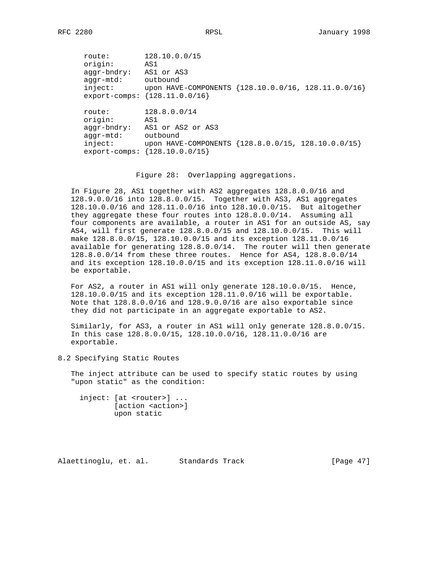route: 128.10.0.0/15 origin: AS1 aggr-bndry: AS1 or AS3 aggr-mtd: outbound inject: upon HAVE-COMPONENTS {128.10.0.0/16, 128.11.0.0/16} export-comps: {128.11.0.0/16} route: 128.8.0.0/14 origin: AS1 aggr-bndry: AS1 or AS2 or AS3 aggr-mtd: outbound inject: upon HAVE-COMPONENTS {128.8.0.0/15, 128.10.0.0/15} export-comps: {128.10.0.0/15}

Figure 28: Overlapping aggregations.

 In Figure 28, AS1 together with AS2 aggregates 128.8.0.0/16 and 128.9.0.0/16 into 128.8.0.0/15. Together with AS3, AS1 aggregates 128.10.0.0/16 and 128.11.0.0/16 into 128.10.0.0/15. But altogether they aggregate these four routes into 128.8.0.0/14. Assuming all four components are available, a router in AS1 for an outside AS, say AS4, will first generate 128.8.0.0/15 and 128.10.0.0/15. This will make 128.8.0.0/15, 128.10.0.0/15 and its exception 128.11.0.0/16 available for generating 128.8.0.0/14. The router will then generate 128.8.0.0/14 from these three routes. Hence for AS4, 128.8.0.0/14 and its exception 128.10.0.0/15 and its exception 128.11.0.0/16 will be exportable.

 For AS2, a router in AS1 will only generate 128.10.0.0/15. Hence, 128.10.0.0/15 and its exception 128.11.0.0/16 will be exportable. Note that 128.8.0.0/16 and 128.9.0.0/16 are also exportable since they did not participate in an aggregate exportable to AS2.

 Similarly, for AS3, a router in AS1 will only generate 128.8.0.0/15. In this case 128.8.0.0/15, 128.10.0.0/16, 128.11.0.0/16 are exportable.

8.2 Specifying Static Routes

 The inject attribute can be used to specify static routes by using "upon static" as the condition:

 inject: [at <router>] ... [action <action>] upon static

Alaettinoglu, et. al. Standards Track [Page 47]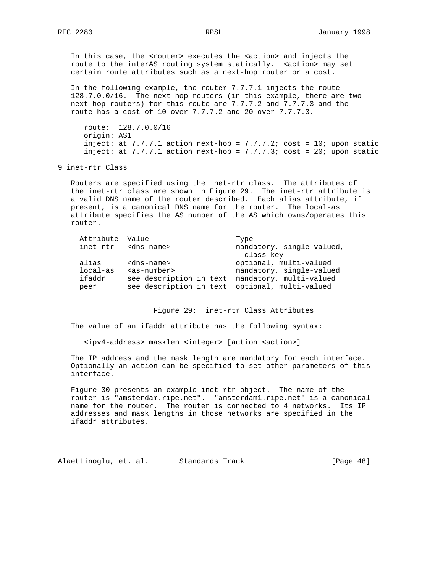In this case, the <router> executes the <action> and injects the route to the interAS routing system statically. <action> may set certain route attributes such as a next-hop router or a cost.

 In the following example, the router 7.7.7.1 injects the route 128.7.0.0/16. The next-hop routers (in this example, there are two next-hop routers) for this route are 7.7.7.2 and 7.7.7.3 and the route has a cost of 10 over 7.7.7.2 and 20 over 7.7.7.3.

 route: 128.7.0.0/16 origin: AS1 inject: at  $7.7.7.1$  action next-hop =  $7.7.7.2$ ; cost = 10; upon static inject: at  $7.7.7.1$  action next-hop =  $7.7.7.3$ ; cost = 20; upon static

9 inet-rtr Class

 Routers are specified using the inet-rtr class. The attributes of the inet-rtr class are shown in Figure 29. The inet-rtr attribute is a valid DNS name of the router described. Each alias attribute, if present, is a canonical DNS name for the router. The local-as attribute specifies the AS number of the AS which owns/operates this router.

| Attribute | Value                                           | Type                      |
|-----------|-------------------------------------------------|---------------------------|
| inet-rtr  | <dns-name></dns-name>                           | mandatory, single-valued, |
|           |                                                 | class key                 |
| alias     | <dns-name></dns-name>                           | optional, multi-valued    |
| local-as  | $as-number$                                     | mandatory, single-valued  |
| ifaddr    | see description in text mandatory, multi-valued |                           |
| peer      | see description in text optional, multi-valued  |                           |
|           |                                                 |                           |

Figure 29: inet-rtr Class Attributes

The value of an ifaddr attribute has the following syntax:

<ipv4-address> masklen <integer> [action <action>]

 The IP address and the mask length are mandatory for each interface. Optionally an action can be specified to set other parameters of this interface.

 Figure 30 presents an example inet-rtr object. The name of the router is "amsterdam.ripe.net". "amsterdam1.ripe.net" is a canonical name for the router. The router is connected to 4 networks. Its IP addresses and mask lengths in those networks are specified in the ifaddr attributes.

Alaettinoglu, et. al. Standards Track [Page 48]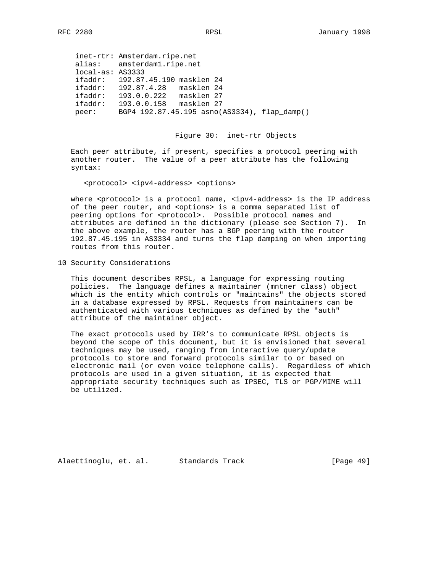|         | inet-rtr: Amsterdam.ripe.net                 |
|---------|----------------------------------------------|
|         | alias: amsterdam1.ripe.net                   |
|         | $local-as: AS3333$                           |
|         | ifaddr: 192.87.45.190 masklen 24             |
|         | ifaddr: 192.87.4.28 masklen 24               |
| ifaddr: | 193.0.0.222 masklen 27                       |
| ifaddr: | 193.0.0.158<br>masklen 27                    |
| peer:   | BGP4 192.87.45.195 asno(AS3334), flap damp() |

Figure 30: inet-rtr Objects

 Each peer attribute, if present, specifies a protocol peering with another router. The value of a peer attribute has the following syntax:

<protocol> <ipv4-address> <options>

where <protocol> is a protocol name, <ipv4-address> is the IP address of the peer router, and <options> is a comma separated list of peering options for <protocol>. Possible protocol names and attributes are defined in the dictionary (please see Section 7). In the above example, the router has a BGP peering with the router 192.87.45.195 in AS3334 and turns the flap damping on when importing routes from this router.

10 Security Considerations

 This document describes RPSL, a language for expressing routing policies. The language defines a maintainer (mntner class) object which is the entity which controls or "maintains" the objects stored in a database expressed by RPSL. Requests from maintainers can be authenticated with various techniques as defined by the "auth" attribute of the maintainer object.

 The exact protocols used by IRR's to communicate RPSL objects is beyond the scope of this document, but it is envisioned that several techniques may be used, ranging from interactive query/update protocols to store and forward protocols similar to or based on electronic mail (or even voice telephone calls). Regardless of which protocols are used in a given situation, it is expected that appropriate security techniques such as IPSEC, TLS or PGP/MIME will be utilized.

Alaettinoglu, et. al. Standards Track [Page 49]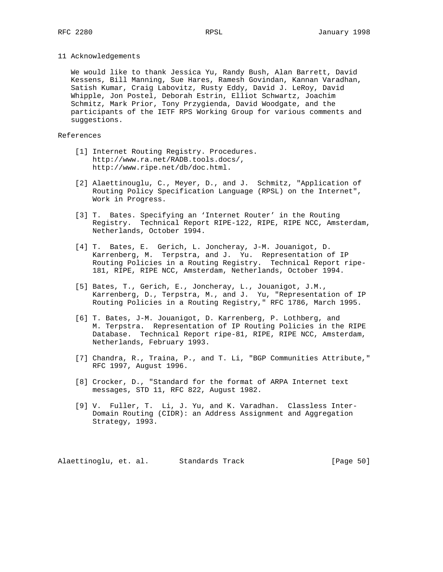#### 11 Acknowledgements

 We would like to thank Jessica Yu, Randy Bush, Alan Barrett, David Kessens, Bill Manning, Sue Hares, Ramesh Govindan, Kannan Varadhan, Satish Kumar, Craig Labovitz, Rusty Eddy, David J. LeRoy, David Whipple, Jon Postel, Deborah Estrin, Elliot Schwartz, Joachim Schmitz, Mark Prior, Tony Przygienda, David Woodgate, and the participants of the IETF RPS Working Group for various comments and suggestions.

# References

- [1] Internet Routing Registry. Procedures. http://www.ra.net/RADB.tools.docs/, http://www.ripe.net/db/doc.html.
- [2] Alaettinouglu, C., Meyer, D., and J. Schmitz, "Application of Routing Policy Specification Language (RPSL) on the Internet", Work in Progress.
- [3] T. Bates. Specifying an 'Internet Router' in the Routing Registry. Technical Report RIPE-122, RIPE, RIPE NCC, Amsterdam, Netherlands, October 1994.
- [4] T. Bates, E. Gerich, L. Joncheray, J-M. Jouanigot, D. Karrenberg, M. Terpstra, and J. Yu. Representation of IP Routing Policies in a Routing Registry. Technical Report ripe- 181, RIPE, RIPE NCC, Amsterdam, Netherlands, October 1994.
- [5] Bates, T., Gerich, E., Joncheray, L., Jouanigot, J.M., Karrenberg, D., Terpstra, M., and J. Yu, "Representation of IP Routing Policies in a Routing Registry," RFC 1786, March 1995.
- [6] T. Bates, J-M. Jouanigot, D. Karrenberg, P. Lothberg, and M. Terpstra. Representation of IP Routing Policies in the RIPE Database. Technical Report ripe-81, RIPE, RIPE NCC, Amsterdam, Netherlands, February 1993.
- [7] Chandra, R., Traina, P., and T. Li, "BGP Communities Attribute," RFC 1997, August 1996.
- [8] Crocker, D., "Standard for the format of ARPA Internet text messages, STD 11, RFC 822, August 1982.
- [9] V. Fuller, T. Li, J. Yu, and K. Varadhan. Classless Inter- Domain Routing (CIDR): an Address Assignment and Aggregation Strategy, 1993.

Alaettinoglu, et. al. Standards Track [Page 50]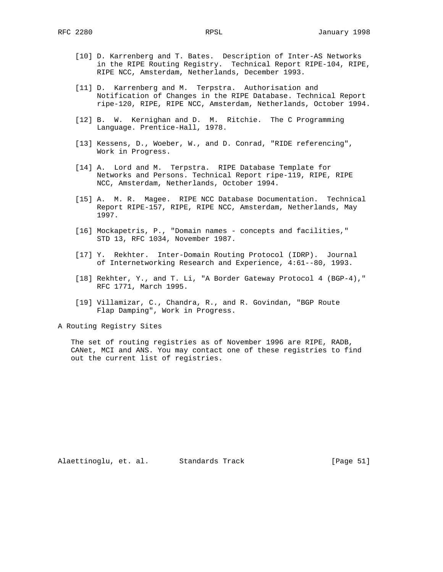- [10] D. Karrenberg and T. Bates. Description of Inter-AS Networks in the RIPE Routing Registry. Technical Report RIPE-104, RIPE, RIPE NCC, Amsterdam, Netherlands, December 1993.
- [11] D. Karrenberg and M. Terpstra. Authorisation and Notification of Changes in the RIPE Database. Technical Report ripe-120, RIPE, RIPE NCC, Amsterdam, Netherlands, October 1994.
- [12] B. W. Kernighan and D. M. Ritchie. The C Programming Language. Prentice-Hall, 1978.
- [13] Kessens, D., Woeber, W., and D. Conrad, "RIDE referencing", Work in Progress.
- [14] A. Lord and M. Terpstra. RIPE Database Template for Networks and Persons. Technical Report ripe-119, RIPE, RIPE NCC, Amsterdam, Netherlands, October 1994.
- [15] A. M. R. Magee. RIPE NCC Database Documentation. Technical Report RIPE-157, RIPE, RIPE NCC, Amsterdam, Netherlands, May 1997.
- [16] Mockapetris, P., "Domain names concepts and facilities," STD 13, RFC 1034, November 1987.
- [17] Y. Rekhter. Inter-Domain Routing Protocol (IDRP). Journal of Internetworking Research and Experience, 4:61--80, 1993.
- [18] Rekhter, Y., and T. Li, "A Border Gateway Protocol 4 (BGP-4)," RFC 1771, March 1995.
- [19] Villamizar, C., Chandra, R., and R. Govindan, "BGP Route Flap Damping", Work in Progress.

A Routing Registry Sites

 The set of routing registries as of November 1996 are RIPE, RADB, CANet, MCI and ANS. You may contact one of these registries to find out the current list of registries.

Alaettinoglu, et. al. Standards Track [Page 51]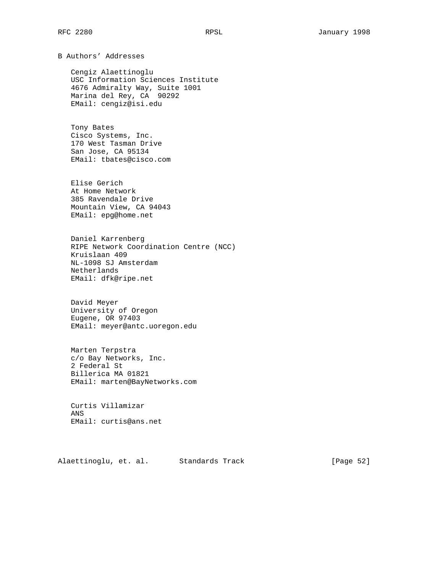B Authors' Addresses

 Cengiz Alaettinoglu USC Information Sciences Institute 4676 Admiralty Way, Suite 1001 Marina del Rey, CA 90292 EMail: cengiz@isi.edu

 Tony Bates Cisco Systems, Inc. 170 West Tasman Drive San Jose, CA 95134 EMail: tbates@cisco.com

 Elise Gerich At Home Network 385 Ravendale Drive Mountain View, CA 94043 EMail: epg@home.net

 Daniel Karrenberg RIPE Network Coordination Centre (NCC) Kruislaan 409 NL-1098 SJ Amsterdam Netherlands EMail: dfk@ripe.net

 David Meyer University of Oregon Eugene, OR 97403 EMail: meyer@antc.uoregon.edu

 Marten Terpstra c/o Bay Networks, Inc. 2 Federal St Billerica MA 01821 EMail: marten@BayNetworks.com

 Curtis Villamizar ANS EMail: curtis@ans.net

Alaettinoglu, et. al. Standards Track [Page 52]